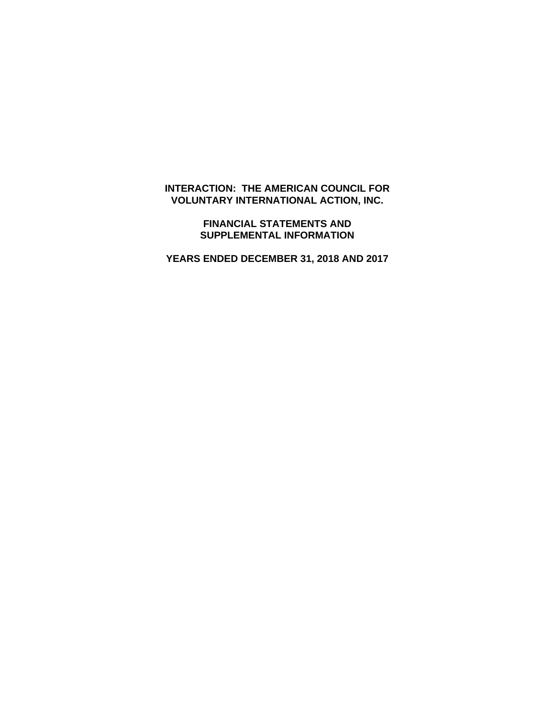# **INTERACTION: THE AMERICAN COUNCIL FOR VOLUNTARY INTERNATIONAL ACTION, INC.**

### **FINANCIAL STATEMENTS AND SUPPLEMENTAL INFORMATION**

**YEARS ENDED DECEMBER 31, 2018 AND 2017**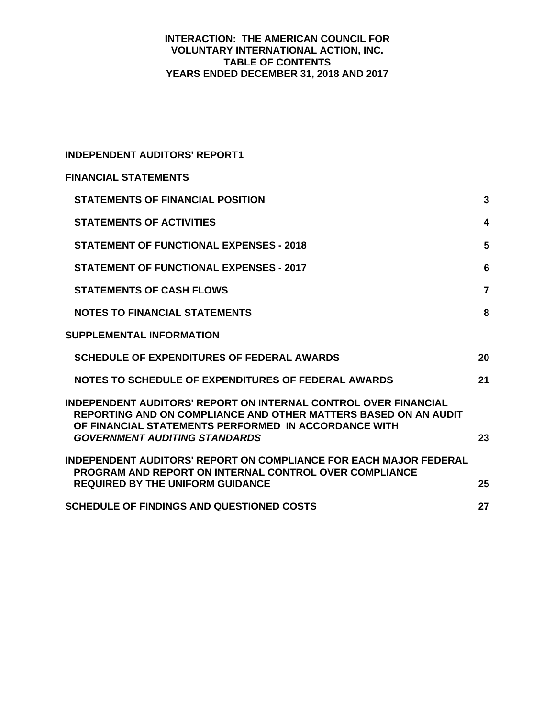# **INTERACTION: THE AMERICAN COUNCIL FOR VOLUNTARY INTERNATIONAL ACTION, INC. TABLE OF CONTENTS YEARS ENDED DECEMBER 31, 2018 AND 2017**

**INDEPENDENT AUDITORS' REPORT1** 

| <b>FINANCIAL STATEMENTS</b>                                                                                                                                                                                                               |                  |
|-------------------------------------------------------------------------------------------------------------------------------------------------------------------------------------------------------------------------------------------|------------------|
| <b>STATEMENTS OF FINANCIAL POSITION</b>                                                                                                                                                                                                   | 3                |
| <b>STATEMENTS OF ACTIVITIES</b>                                                                                                                                                                                                           | $\boldsymbol{4}$ |
| <b>STATEMENT OF FUNCTIONAL EXPENSES - 2018</b>                                                                                                                                                                                            | 5                |
| <b>STATEMENT OF FUNCTIONAL EXPENSES - 2017</b>                                                                                                                                                                                            | 6                |
| <b>STATEMENTS OF CASH FLOWS</b>                                                                                                                                                                                                           | $\overline{7}$   |
| <b>NOTES TO FINANCIAL STATEMENTS</b>                                                                                                                                                                                                      | 8                |
| <b>SUPPLEMENTAL INFORMATION</b>                                                                                                                                                                                                           |                  |
| <b>SCHEDULE OF EXPENDITURES OF FEDERAL AWARDS</b>                                                                                                                                                                                         | 20               |
| NOTES TO SCHEDULE OF EXPENDITURES OF FEDERAL AWARDS                                                                                                                                                                                       | 21               |
| <b>INDEPENDENT AUDITORS' REPORT ON INTERNAL CONTROL OVER FINANCIAL</b><br>REPORTING AND ON COMPLIANCE AND OTHER MATTERS BASED ON AN AUDIT<br>OF FINANCIAL STATEMENTS PERFORMED IN ACCORDANCE WITH<br><b>GOVERNMENT AUDITING STANDARDS</b> | 23               |
| <b>INDEPENDENT AUDITORS' REPORT ON COMPLIANCE FOR EACH MAJOR FEDERAL</b><br><b>PROGRAM AND REPORT ON INTERNAL CONTROL OVER COMPLIANCE</b><br><b>REQUIRED BY THE UNIFORM GUIDANCE</b>                                                      | 25               |
| <b>SCHEDULE OF FINDINGS AND QUESTIONED COSTS</b>                                                                                                                                                                                          | 27               |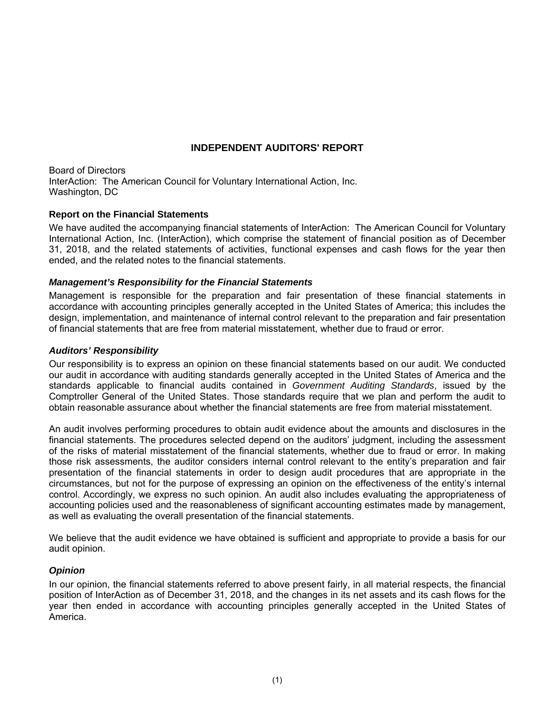# **INDEPENDENT AUDITORS' REPORT**

Board of Directors InterAction: The American Council for Voluntary International Action, Inc. Washington, DC

#### **Report on the Financial Statements**

We have audited the accompanying financial statements of InterAction: The American Council for Voluntary International Action, Inc. (InterAction), which comprise the statement of financial position as of December 31, 2018, and the related statements of activities, functional expenses and cash flows for the year then ended, and the related notes to the financial statements.

#### *Management's Responsibility for the Financial Statements*

Management is responsible for the preparation and fair presentation of these financial statements in accordance with accounting principles generally accepted in the United States of America; this includes the design, implementation, and maintenance of internal control relevant to the preparation and fair presentation of financial statements that are free from material misstatement, whether due to fraud or error.

#### *Auditors' Responsibility*

Our responsibility is to express an opinion on these financial statements based on our audit. We conducted our audit in accordance with auditing standards generally accepted in the United States of America and the standards applicable to financial audits contained in *Government Auditing Standards*, issued by the Comptroller General of the United States. Those standards require that we plan and perform the audit to obtain reasonable assurance about whether the financial statements are free from material misstatement.

An audit involves performing procedures to obtain audit evidence about the amounts and disclosures in the financial statements. The procedures selected depend on the auditors' judgment, including the assessment of the risks of material misstatement of the financial statements, whether due to fraud or error. In making those risk assessments, the auditor considers internal control relevant to the entity's preparation and fair presentation of the financial statements in order to design audit procedures that are appropriate in the circumstances, but not for the purpose of expressing an opinion on the effectiveness of the entity's internal control. Accordingly, we express no such opinion. An audit also includes evaluating the appropriateness of accounting policies used and the reasonableness of significant accounting estimates made by management, as well as evaluating the overall presentation of the financial statements.

We believe that the audit evidence we have obtained is sufficient and appropriate to provide a basis for our audit opinion.

#### *Opinion*

In our opinion, the financial statements referred to above present fairly, in all material respects, the financial position of InterAction as of December 31, 2018, and the changes in its net assets and its cash flows for the year then ended in accordance with accounting principles generally accepted in the United States of America.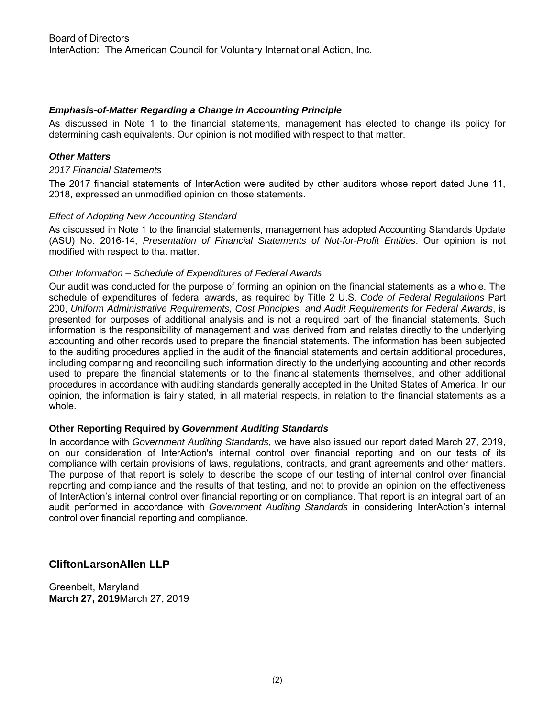# *Emphasis-of-Matter Regarding a Change in Accounting Principle*

As discussed in Note 1 to the financial statements, management has elected to change its policy for determining cash equivalents. Our opinion is not modified with respect to that matter.

#### *Other Matters*

#### *2017 Financial Statements*

The 2017 financial statements of InterAction were audited by other auditors whose report dated June 11, 2018, expressed an unmodified opinion on those statements.

#### *Effect of Adopting New Accounting Standard*

As discussed in Note 1 to the financial statements, management has adopted Accounting Standards Update (ASU) No. 2016-14, *Presentation of Financial Statements of Not-for-Profit Entities*. Our opinion is not modified with respect to that matter.

#### *Other Information – Schedule of Expenditures of Federal Awards*

Our audit was conducted for the purpose of forming an opinion on the financial statements as a whole. The schedule of expenditures of federal awards, as required by Title 2 U.S. *Code of Federal Regulations* Part 200, *Uniform Administrative Requirements, Cost Principles, and Audit Requirements for Federal Awards*, is presented for purposes of additional analysis and is not a required part of the financial statements. Such information is the responsibility of management and was derived from and relates directly to the underlying accounting and other records used to prepare the financial statements. The information has been subjected to the auditing procedures applied in the audit of the financial statements and certain additional procedures, including comparing and reconciling such information directly to the underlying accounting and other records used to prepare the financial statements or to the financial statements themselves, and other additional procedures in accordance with auditing standards generally accepted in the United States of America. In our opinion, the information is fairly stated, in all material respects, in relation to the financial statements as a whole.

#### **Other Reporting Required by** *Government Auditing Standards*

In accordance with *Government Auditing Standards*, we have also issued our report dated March 27, 2019, on our consideration of InterAction's internal control over financial reporting and on our tests of its compliance with certain provisions of laws, regulations, contracts, and grant agreements and other matters. The purpose of that report is solely to describe the scope of our testing of internal control over financial reporting and compliance and the results of that testing, and not to provide an opinion on the effectiveness of InterAction's internal control over financial reporting or on compliance. That report is an integral part of an audit performed in accordance with *Government Auditing Standards* in considering InterAction's internal control over financial reporting and compliance.

# **CliftonLarsonAllen LLP**

Greenbelt, Maryland **March 27, 2019**March 27, 2019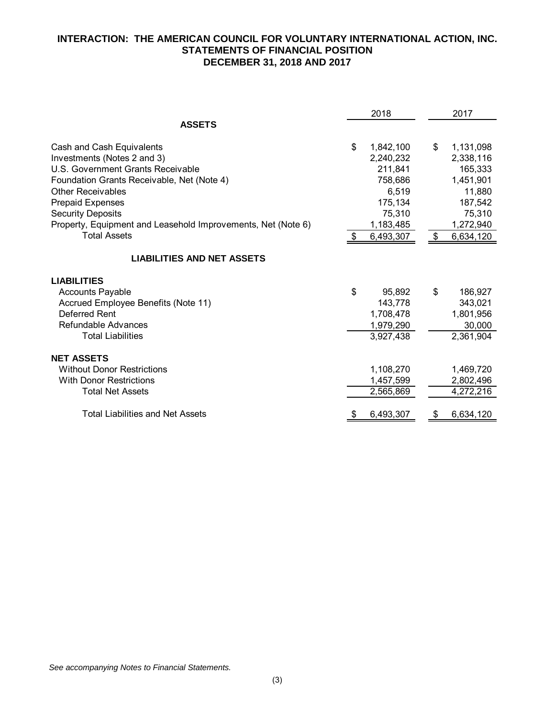|                                                              |     | 2018      |    | 2017      |
|--------------------------------------------------------------|-----|-----------|----|-----------|
| <b>ASSETS</b>                                                |     |           |    |           |
| Cash and Cash Equivalents                                    | \$  | 1,842,100 | \$ | 1,131,098 |
| Investments (Notes 2 and 3)                                  |     | 2,240,232 |    | 2,338,116 |
| U.S. Government Grants Receivable                            |     | 211,841   |    | 165,333   |
| Foundation Grants Receivable, Net (Note 4)                   |     | 758,686   |    | 1,451,901 |
| <b>Other Receivables</b>                                     |     | 6,519     |    | 11,880    |
| <b>Prepaid Expenses</b>                                      |     | 175,134   |    | 187,542   |
| <b>Security Deposits</b>                                     |     | 75,310    |    | 75,310    |
| Property, Equipment and Leasehold Improvements, Net (Note 6) |     | 1,183,485 |    | 1,272,940 |
| <b>Total Assets</b>                                          | \$. | 6,493,307 | \$ | 6,634,120 |
| <b>LIABILITIES AND NET ASSETS</b>                            |     |           |    |           |
| <b>LIABILITIES</b>                                           |     |           |    |           |
| <b>Accounts Payable</b>                                      | \$  | 95,892    | S  | 186,927   |
| Accrued Employee Benefits (Note 11)                          |     | 143,778   |    | 343,021   |
| Deferred Rent                                                |     | 1,708,478 |    | 1,801,956 |
| Refundable Advances                                          |     | 1,979,290 |    | 30,000    |
| <b>Total Liabilities</b>                                     |     | 3,927,438 |    | 2,361,904 |
| <b>NET ASSETS</b>                                            |     |           |    |           |
| <b>Without Donor Restrictions</b>                            |     | 1,108,270 |    | 1,469,720 |
| <b>With Donor Restrictions</b>                               |     | 1,457,599 |    | 2,802,496 |
| <b>Total Net Assets</b>                                      |     | 2,565,869 |    | 4,272,216 |
| Total Liabilities and Net Assets                             |     | 6,493,307 | æ. | 6,634,120 |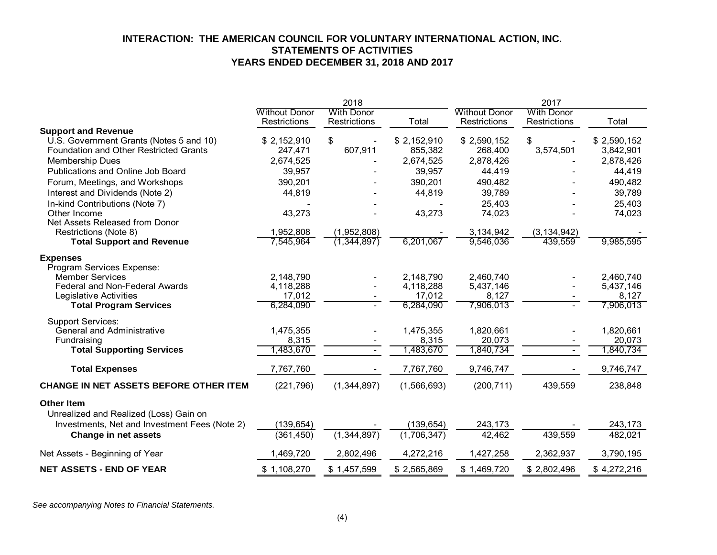### **INTERACTION: THE AMERICAN COUNCIL FOR VOLUNTARY INTERNATIONAL ACTION, INC. STATEMENTS OF ACTIVITIES YEARS ENDED DECEMBER 31, 2018 AND 2017**

|                                                             |                                             | 2018                                     |             | 2017                                        |                                          |             |  |
|-------------------------------------------------------------|---------------------------------------------|------------------------------------------|-------------|---------------------------------------------|------------------------------------------|-------------|--|
|                                                             | <b>Without Donor</b><br><b>Restrictions</b> | <b>With Donor</b><br><b>Restrictions</b> | Total       | <b>Without Donor</b><br><b>Restrictions</b> | <b>With Donor</b><br><b>Restrictions</b> | Total       |  |
| <b>Support and Revenue</b>                                  |                                             |                                          |             |                                             |                                          |             |  |
| U.S. Government Grants (Notes 5 and 10)                     | \$2,152,910                                 | \$                                       | \$2,152,910 | \$2,590,152                                 | \$                                       | \$2,590,152 |  |
| <b>Foundation and Other Restricted Grants</b>               | 247,471                                     | 607,911                                  | 855,382     | 268,400                                     | 3,574,501                                | 3,842,901   |  |
| Membership Dues                                             | 2,674,525                                   |                                          | 2,674,525   | 2,878,426                                   |                                          | 2,878,426   |  |
| Publications and Online Job Board                           | 39,957                                      |                                          | 39,957      | 44,419                                      |                                          | 44,419      |  |
| Forum, Meetings, and Workshops                              | 390,201                                     |                                          | 390,201     | 490,482                                     |                                          | 490,482     |  |
| Interest and Dividends (Note 2)                             | 44,819                                      |                                          | 44,819      | 39,789                                      |                                          | 39,789      |  |
| In-kind Contributions (Note 7)                              |                                             |                                          |             | 25,403                                      |                                          | 25,403      |  |
| Other Income                                                | 43,273                                      |                                          | 43,273      | 74,023                                      |                                          | 74,023      |  |
| Net Assets Released from Donor                              |                                             |                                          |             |                                             |                                          |             |  |
| Restrictions (Note 8)                                       | 1,952,808                                   | (1,952,808)                              |             | 3,134,942                                   | (3, 134, 942)                            |             |  |
| <b>Total Support and Revenue</b>                            | 7,545,964                                   | (1,344,897)                              | 6,201,067   | 9,546,036                                   | 439,559                                  | 9,985,595   |  |
| <b>Expenses</b>                                             |                                             |                                          |             |                                             |                                          |             |  |
| Program Services Expense:                                   |                                             |                                          |             |                                             |                                          |             |  |
| <b>Member Services</b>                                      | 2,148,790                                   |                                          | 2,148,790   | 2,460,740                                   |                                          | 2,460,740   |  |
| <b>Federal and Non-Federal Awards</b>                       | 4,118,288                                   |                                          | 4,118,288   | 5,437,146                                   |                                          | 5,437,146   |  |
| Legislative Activities                                      | 17,012                                      |                                          | 17,012      | 8,127                                       |                                          | 8,127       |  |
| <b>Total Program Services</b>                               | 6,284,090                                   |                                          | 6,284,090   | 7,906,013                                   |                                          | 7,906,013   |  |
| <b>Support Services:</b>                                    |                                             |                                          |             |                                             |                                          |             |  |
| General and Administrative                                  | 1,475,355                                   |                                          | 1,475,355   | 1,820,661                                   |                                          | 1,820,661   |  |
| Fundraising                                                 | 8,315                                       |                                          | 8,315       | 20,073                                      |                                          | 20,073      |  |
| <b>Total Supporting Services</b>                            | 1,483,670                                   |                                          | 1,483,670   | 1,840,734                                   | $\sim$                                   | 1,840,734   |  |
| <b>Total Expenses</b>                                       | 7,767,760                                   |                                          | 7,767,760   | 9,746,747                                   |                                          | 9,746,747   |  |
| <b>CHANGE IN NET ASSETS BEFORE OTHER ITEM</b>               | (221, 796)                                  | (1,344,897)                              | (1,566,693) | (200, 711)                                  | 439,559                                  | 238,848     |  |
| <b>Other Item</b><br>Unrealized and Realized (Loss) Gain on |                                             |                                          |             |                                             |                                          |             |  |
| Investments, Net and Investment Fees (Note 2)               | (139, 654)                                  |                                          | (139, 654)  | 243,173                                     |                                          | 243,173     |  |
| <b>Change in net assets</b>                                 | (361, 450)                                  | (1,344,897)                              | (1,706,347) | 42,462                                      | 439,559                                  | 482,021     |  |
| Net Assets - Beginning of Year                              | 1,469,720                                   | 2,802,496                                | 4,272,216   | 1,427,258                                   | 2,362,937                                | 3,790,195   |  |
| <b>NET ASSETS - END OF YEAR</b>                             | \$1,108,270                                 | \$1,457,599                              | \$2,565,869 | \$1,469,720                                 | \$2,802,496                              | \$4,272,216 |  |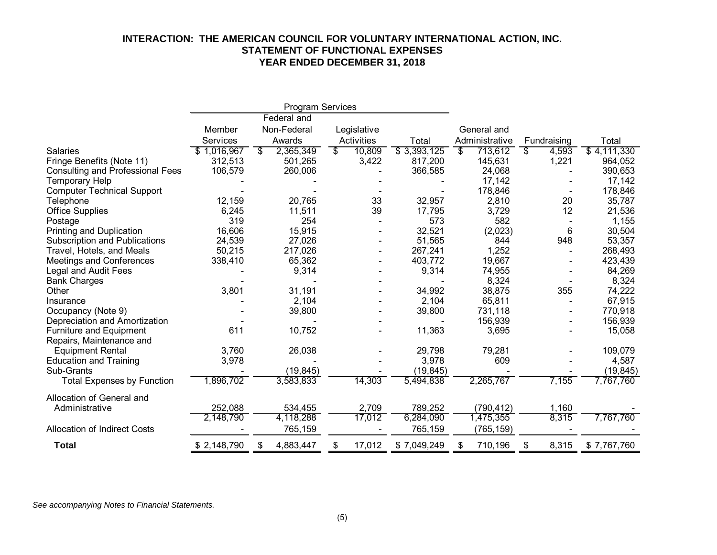# **INTERACTION: THE AMERICAN COUNCIL FOR VOLUNTARY INTERNATIONAL ACTION, INC. STATEMENT OF FUNCTIONAL EXPENSES YEAR ENDED DECEMBER 31, 2018**

|                                         |             | <b>Program Services</b> |              |             |                |             |             |
|-----------------------------------------|-------------|-------------------------|--------------|-------------|----------------|-------------|-------------|
|                                         |             | Federal and             |              |             |                |             |             |
|                                         | Member      | Non-Federal             | Legislative  |             | General and    |             |             |
|                                         | Services    | Awards                  | Activities   | Total       | Administrative | Fundraising | Total       |
| <b>Salaries</b>                         | \$1,016,967 | 2,365,349<br>\$.        | 10,809<br>\$ | \$3,393,125 | 713,612<br>\$  | \$<br>4,593 | \$4,111,330 |
| Fringe Benefits (Note 11)               | 312,513     | 501,265                 | 3,422        | 817,200     | 145,631        | 1,221       | 964,052     |
| <b>Consulting and Professional Fees</b> | 106,579     | 260,006                 |              | 366,585     | 24,068         |             | 390,653     |
| <b>Temporary Help</b>                   |             |                         |              |             | 17,142         |             | 17,142      |
| <b>Computer Technical Support</b>       |             |                         |              |             | 178,846        |             | 178,846     |
| Telephone                               | 12,159      | 20,765                  | 33           | 32,957      | 2,810          | 20          | 35,787      |
| <b>Office Supplies</b>                  | 6,245       | 11,511                  | 39           | 17,795      | 3,729          | 12          | 21,536      |
| Postage                                 | 319         | 254                     |              | 573         | 582            |             | 1,155       |
| Printing and Duplication                | 16,606      | 15,915                  |              | 32,521      | (2,023)        | 6           | 30,504      |
| <b>Subscription and Publications</b>    | 24,539      | 27,026                  |              | 51,565      | 844            | 948         | 53,357      |
| Travel, Hotels, and Meals               | 50,215      | 217,026                 |              | 267,241     | 1,252          |             | 268,493     |
| Meetings and Conferences                | 338,410     | 65,362                  |              | 403,772     | 19,667         |             | 423,439     |
| Legal and Audit Fees                    |             | 9,314                   |              | 9,314       | 74,955         |             | 84,269      |
| <b>Bank Charges</b>                     |             |                         |              |             | 8,324          |             | 8,324       |
| Other                                   | 3,801       | 31,191                  |              | 34,992      | 38,875         | 355         | 74,222      |
| Insurance                               |             | 2,104                   |              | 2,104       | 65,811         |             | 67,915      |
| Occupancy (Note 9)                      |             | 39,800                  |              | 39,800      | 731,118        |             | 770,918     |
| Depreciation and Amortization           |             |                         |              |             | 156,939        |             | 156,939     |
| Furniture and Equipment                 | 611         | 10,752                  |              | 11,363      | 3,695          |             | 15,058      |
| Repairs, Maintenance and                |             |                         |              |             |                |             |             |
| <b>Equipment Rental</b>                 | 3,760       | 26,038                  |              | 29,798      | 79,281         |             | 109,079     |
| <b>Education and Training</b>           | 3,978       |                         |              | 3,978       | 609            |             | 4,587       |
| Sub-Grants                              |             | (19, 845)               |              | (19, 845)   |                |             | (19, 845)   |
| <b>Total Expenses by Function</b>       | 1,896,702   | 3,583,833               | 14,303       | 5,494,838   | 2,265,767      | 7,155       | 7,767,760   |
| Allocation of General and               |             |                         |              |             |                |             |             |
| Administrative                          | 252,088     | 534,455                 | 2,709        | 789,252     | (790, 412)     | 1,160       |             |
|                                         | 2,148,790   | 4,118,288               | 17,012       | 6,284,090   | 1,475,355      | 8,315       | 7,767,760   |
| <b>Allocation of Indirect Costs</b>     |             | 765,159                 |              | 765,159     | (765, 159)     |             |             |
| <b>Total</b>                            | \$2,148,790 | 4,883,447<br>\$         | 17,012<br>\$ | \$7,049,249 | 710,196<br>\$  | 8,315<br>\$ | \$7,767,760 |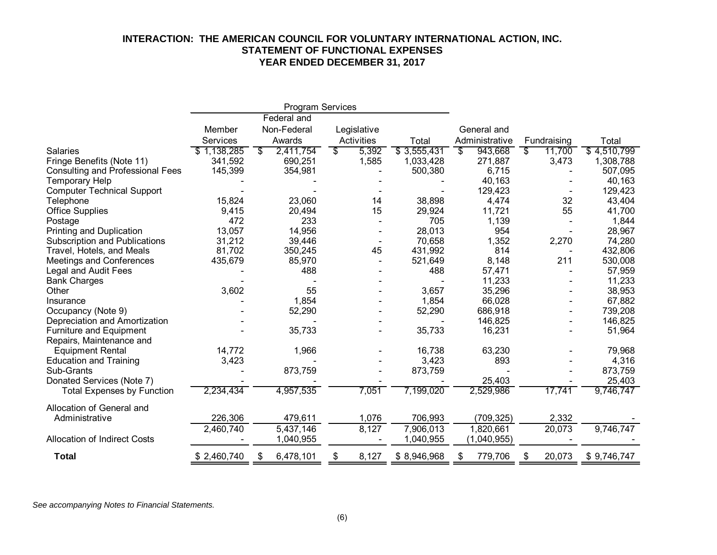# **INTERACTION: THE AMERICAN COUNCIL FOR VOLUNTARY INTERNATIONAL ACTION, INC. STATEMENT OF FUNCTIONAL EXPENSES YEAR ENDED DECEMBER 31, 2017**

|                                         |             |        | <b>Program Services</b> |                     |             |             |                |    |             |             |
|-----------------------------------------|-------------|--------|-------------------------|---------------------|-------------|-------------|----------------|----|-------------|-------------|
|                                         |             |        | Federal and             |                     |             |             |                |    |             |             |
|                                         | Member      |        | Non-Federal             | Legislative         |             | General and |                |    |             |             |
|                                         | Services    | Awards |                         | Activities<br>Total |             |             | Administrative |    | Fundraising | Total       |
| <b>Salaries</b>                         | \$1,138,285 | \$     | 2,411,754               | \$<br>5,392         | \$3,555,431 | \$          | 943,668        | \$ | 11,700      | \$4,510,799 |
| Fringe Benefits (Note 11)               | 341,592     |        | 690,251                 | 1,585               | 1,033,428   |             | 271,887        |    | 3,473       | 1,308,788   |
| <b>Consulting and Professional Fees</b> | 145,399     |        | 354,981                 |                     | 500,380     |             | 6,715          |    |             | 507,095     |
| <b>Temporary Help</b>                   |             |        |                         |                     |             |             | 40,163         |    |             | 40,163      |
| <b>Computer Technical Support</b>       |             |        |                         |                     |             |             | 129,423        |    |             | 129,423     |
| Telephone                               | 15,824      |        | 23,060                  | 14                  | 38,898      |             | 4,474          |    | 32          | 43,404      |
| <b>Office Supplies</b>                  | 9,415       |        | 20,494                  | 15                  | 29,924      |             | 11,721         |    | 55          | 41,700      |
| Postage                                 | 472         |        | 233                     |                     | 705         |             | 1,139          |    |             | 1,844       |
| Printing and Duplication                | 13,057      |        | 14,956                  |                     | 28,013      |             | 954            |    |             | 28,967      |
| <b>Subscription and Publications</b>    | 31,212      |        | 39,446                  |                     | 70,658      |             | 1,352          |    | 2,270       | 74,280      |
| Travel, Hotels, and Meals               | 81,702      |        | 350,245                 | 45                  | 431,992     |             | 814            |    |             | 432,806     |
| <b>Meetings and Conferences</b>         | 435,679     |        | 85,970                  |                     | 521,649     |             | 8,148          |    | 211         | 530,008     |
| Legal and Audit Fees                    |             |        | 488                     |                     | 488         |             | 57,471         |    |             | 57,959      |
| <b>Bank Charges</b>                     |             |        |                         |                     |             |             | 11,233         |    |             | 11,233      |
| Other                                   | 3,602       |        | 55                      |                     | 3,657       |             | 35,296         |    |             | 38,953      |
| Insurance                               |             |        | 1,854                   |                     | 1,854       |             | 66,028         |    |             | 67,882      |
| Occupancy (Note 9)                      |             |        | 52,290                  |                     | 52,290      |             | 686,918        |    |             | 739,208     |
| Depreciation and Amortization           |             |        |                         |                     |             |             | 146,825        |    |             | 146,825     |
| <b>Furniture and Equipment</b>          |             |        | 35,733                  |                     | 35,733      |             | 16,231         |    |             | 51,964      |
| Repairs, Maintenance and                |             |        |                         |                     |             |             |                |    |             |             |
| <b>Equipment Rental</b>                 | 14,772      |        | 1,966                   |                     | 16,738      |             | 63,230         |    |             | 79,968      |
| <b>Education and Training</b>           | 3,423       |        |                         |                     | 3,423       |             | 893            |    |             | 4,316       |
| Sub-Grants                              |             |        | 873,759                 |                     | 873,759     |             |                |    |             | 873,759     |
| Donated Services (Note 7)               |             |        |                         |                     |             |             | 25,403         |    |             | 25,403      |
| <b>Total Expenses by Function</b>       | 2,234,434   |        | 4,957,535               | 7,051               | 7,199,020   |             | 2,529,986      |    | 17,741      | 9,746,747   |
| Allocation of General and               |             |        |                         |                     |             |             |                |    |             |             |
| Administrative                          | 226,306     |        | 479,611                 | 1,076               | 706,993     |             | (709, 325)     |    | 2,332       |             |
|                                         | 2,460,740   |        | 5,437,146               | 8,127               | 7,906,013   |             | 1,820,661      |    | 20,073      | 9,746,747   |
| Allocation of Indirect Costs            |             |        | 1,040,955               |                     | 1,040,955   |             | (1,040,955)    |    |             |             |
| <b>Total</b>                            | \$2,460,740 | \$     | 6,478,101               | \$<br>8,127         | \$8,946,968 | \$          | 779,706        | \$ | 20,073      | \$9,746,747 |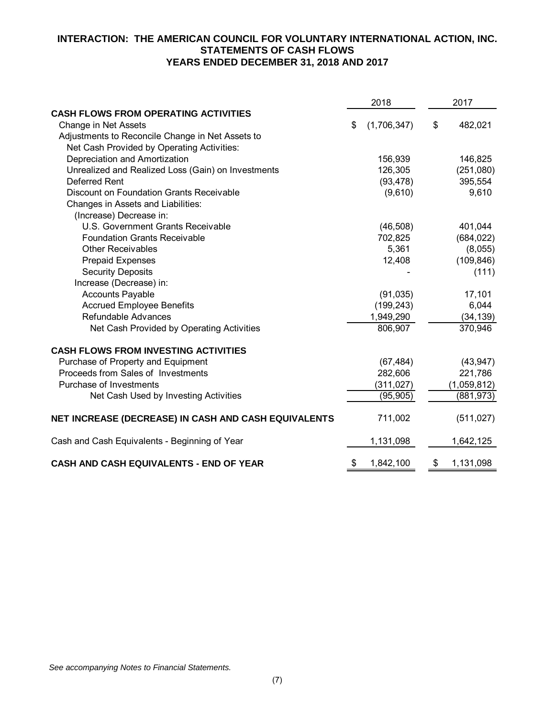# **INTERACTION: THE AMERICAN COUNCIL FOR VOLUNTARY INTERNATIONAL ACTION, INC. STATEMENTS OF CASH FLOWS YEARS ENDED DECEMBER 31, 2018 AND 2017**

|                                                      | 2018              | 2017 |             |  |
|------------------------------------------------------|-------------------|------|-------------|--|
| <b>CASH FLOWS FROM OPERATING ACTIVITIES</b>          |                   |      |             |  |
| Change in Net Assets                                 | \$<br>(1,706,347) | \$   | 482,021     |  |
| Adjustments to Reconcile Change in Net Assets to     |                   |      |             |  |
| Net Cash Provided by Operating Activities:           |                   |      |             |  |
| Depreciation and Amortization                        | 156,939           |      | 146,825     |  |
| Unrealized and Realized Loss (Gain) on Investments   | 126,305           |      | (251,080)   |  |
| <b>Deferred Rent</b>                                 | (93, 478)         |      | 395,554     |  |
| <b>Discount on Foundation Grants Receivable</b>      | (9,610)           |      | 9,610       |  |
| Changes in Assets and Liabilities:                   |                   |      |             |  |
| (Increase) Decrease in:                              |                   |      |             |  |
| U.S. Government Grants Receivable                    | (46, 508)         |      | 401,044     |  |
| <b>Foundation Grants Receivable</b>                  | 702,825           |      | (684, 022)  |  |
| <b>Other Receivables</b>                             | 5,361             |      | (8,055)     |  |
| <b>Prepaid Expenses</b>                              | 12,408            |      | (109, 846)  |  |
| <b>Security Deposits</b>                             |                   |      | (111)       |  |
| Increase (Decrease) in:                              |                   |      |             |  |
| <b>Accounts Payable</b>                              | (91, 035)         |      | 17,101      |  |
| <b>Accrued Employee Benefits</b>                     | (199, 243)        |      | 6,044       |  |
| Refundable Advances                                  | 1,949,290         |      | (34, 139)   |  |
| Net Cash Provided by Operating Activities            | 806,907           |      | 370,946     |  |
| <b>CASH FLOWS FROM INVESTING ACTIVITIES</b>          |                   |      |             |  |
| Purchase of Property and Equipment                   | (67, 484)         |      | (43, 947)   |  |
| Proceeds from Sales of Investments                   | 282,606           |      | 221,786     |  |
| Purchase of Investments                              | (311, 027)        |      | (1,059,812) |  |
| Net Cash Used by Investing Activities                | (95, 905)         |      | (881, 973)  |  |
| NET INCREASE (DECREASE) IN CASH AND CASH EQUIVALENTS | 711,002           |      | (511, 027)  |  |
| Cash and Cash Equivalents - Beginning of Year        | 1,131,098         |      | 1,642,125   |  |
| CASH AND CASH EQUIVALENTS - END OF YEAR              | \$<br>1,842,100   | \$   | 1,131,098   |  |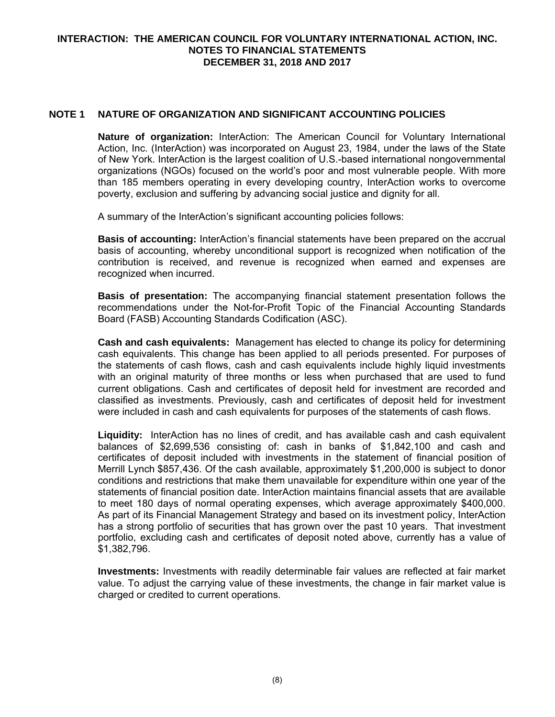# **NOTE 1 NATURE OF ORGANIZATION AND SIGNIFICANT ACCOUNTING POLICIES**

**Nature of organization:** InterAction: The American Council for Voluntary International Action, Inc. (InterAction) was incorporated on August 23, 1984, under the laws of the State of New York. InterAction is the largest coalition of U.S.-based international nongovernmental organizations (NGOs) focused on the world's poor and most vulnerable people. With more than 185 members operating in every developing country, InterAction works to overcome poverty, exclusion and suffering by advancing social justice and dignity for all.

A summary of the InterAction's significant accounting policies follows:

**Basis of accounting:** InterAction's financial statements have been prepared on the accrual basis of accounting, whereby unconditional support is recognized when notification of the contribution is received, and revenue is recognized when earned and expenses are recognized when incurred.

**Basis of presentation:** The accompanying financial statement presentation follows the recommendations under the Not-for-Profit Topic of the Financial Accounting Standards Board (FASB) Accounting Standards Codification (ASC).

**Cash and cash equivalents:** Management has elected to change its policy for determining cash equivalents. This change has been applied to all periods presented. For purposes of the statements of cash flows, cash and cash equivalents include highly liquid investments with an original maturity of three months or less when purchased that are used to fund current obligations. Cash and certificates of deposit held for investment are recorded and classified as investments. Previously, cash and certificates of deposit held for investment were included in cash and cash equivalents for purposes of the statements of cash flows.

**Liquidity:** InterAction has no lines of credit, and has available cash and cash equivalent balances of \$2,699,536 consisting of: cash in banks of \$1,842,100 and cash and certificates of deposit included with investments in the statement of financial position of Merrill Lynch \$857,436. Of the cash available, approximately \$1,200,000 is subject to donor conditions and restrictions that make them unavailable for expenditure within one year of the statements of financial position date. InterAction maintains financial assets that are available to meet 180 days of normal operating expenses, which average approximately \$400,000. As part of its Financial Management Strategy and based on its investment policy, InterAction has a strong portfolio of securities that has grown over the past 10 years. That investment portfolio, excluding cash and certificates of deposit noted above, currently has a value of \$1,382,796.

**Investments:** Investments with readily determinable fair values are reflected at fair market value. To adjust the carrying value of these investments, the change in fair market value is charged or credited to current operations.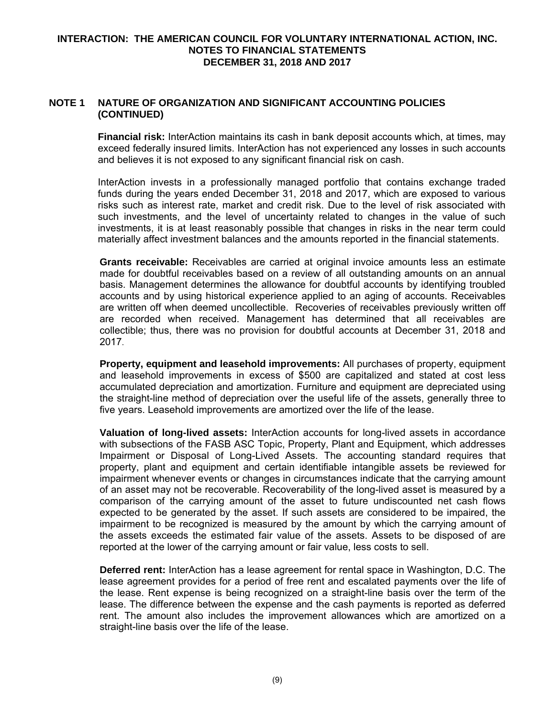# **NOTE 1 NATURE OF ORGANIZATION AND SIGNIFICANT ACCOUNTING POLICIES (CONTINUED)**

**Financial risk:** InterAction maintains its cash in bank deposit accounts which, at times, may exceed federally insured limits. InterAction has not experienced any losses in such accounts and believes it is not exposed to any significant financial risk on cash.

InterAction invests in a professionally managed portfolio that contains exchange traded funds during the years ended December 31, 2018 and 2017, which are exposed to various risks such as interest rate, market and credit risk. Due to the level of risk associated with such investments, and the level of uncertainty related to changes in the value of such investments, it is at least reasonably possible that changes in risks in the near term could materially affect investment balances and the amounts reported in the financial statements.

**Grants receivable:** Receivables are carried at original invoice amounts less an estimate made for doubtful receivables based on a review of all outstanding amounts on an annual basis. Management determines the allowance for doubtful accounts by identifying troubled accounts and by using historical experience applied to an aging of accounts. Receivables are written off when deemed uncollectible. Recoveries of receivables previously written off are recorded when received. Management has determined that all receivables are collectible; thus, there was no provision for doubtful accounts at December 31, 2018 and 2017.

**Property, equipment and leasehold improvements:** All purchases of property, equipment and leasehold improvements in excess of \$500 are capitalized and stated at cost less accumulated depreciation and amortization. Furniture and equipment are depreciated using the straight-line method of depreciation over the useful life of the assets, generally three to five years. Leasehold improvements are amortized over the life of the lease.

**Valuation of long-lived assets:** InterAction accounts for long-lived assets in accordance with subsections of the FASB ASC Topic, Property, Plant and Equipment, which addresses Impairment or Disposal of Long-Lived Assets. The accounting standard requires that property, plant and equipment and certain identifiable intangible assets be reviewed for impairment whenever events or changes in circumstances indicate that the carrying amount of an asset may not be recoverable. Recoverability of the long-lived asset is measured by a comparison of the carrying amount of the asset to future undiscounted net cash flows expected to be generated by the asset. If such assets are considered to be impaired, the impairment to be recognized is measured by the amount by which the carrying amount of the assets exceeds the estimated fair value of the assets. Assets to be disposed of are reported at the lower of the carrying amount or fair value, less costs to sell.

**Deferred rent:** InterAction has a lease agreement for rental space in Washington, D.C. The lease agreement provides for a period of free rent and escalated payments over the life of the lease. Rent expense is being recognized on a straight-line basis over the term of the lease. The difference between the expense and the cash payments is reported as deferred rent. The amount also includes the improvement allowances which are amortized on a straight-line basis over the life of the lease.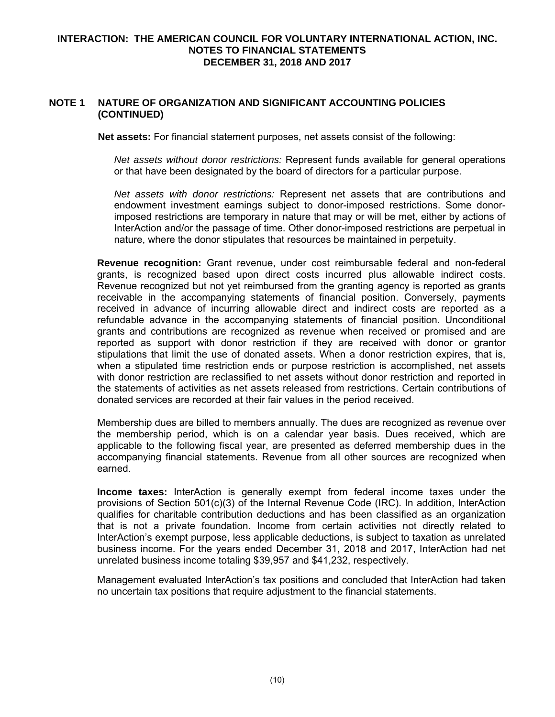# **NOTE 1 NATURE OF ORGANIZATION AND SIGNIFICANT ACCOUNTING POLICIES (CONTINUED)**

**Net assets:** For financial statement purposes, net assets consist of the following:

*Net assets without donor restrictions:* Represent funds available for general operations or that have been designated by the board of directors for a particular purpose.

*Net assets with donor restrictions:* Represent net assets that are contributions and endowment investment earnings subject to donor-imposed restrictions. Some donorimposed restrictions are temporary in nature that may or will be met, either by actions of InterAction and/or the passage of time. Other donor-imposed restrictions are perpetual in nature, where the donor stipulates that resources be maintained in perpetuity.

**Revenue recognition:** Grant revenue, under cost reimbursable federal and non-federal grants, is recognized based upon direct costs incurred plus allowable indirect costs. Revenue recognized but not yet reimbursed from the granting agency is reported as grants receivable in the accompanying statements of financial position. Conversely, payments received in advance of incurring allowable direct and indirect costs are reported as a refundable advance in the accompanying statements of financial position. Unconditional grants and contributions are recognized as revenue when received or promised and are reported as support with donor restriction if they are received with donor or grantor stipulations that limit the use of donated assets. When a donor restriction expires, that is, when a stipulated time restriction ends or purpose restriction is accomplished, net assets with donor restriction are reclassified to net assets without donor restriction and reported in the statements of activities as net assets released from restrictions. Certain contributions of donated services are recorded at their fair values in the period received.

Membership dues are billed to members annually. The dues are recognized as revenue over the membership period, which is on a calendar year basis. Dues received, which are applicable to the following fiscal year, are presented as deferred membership dues in the accompanying financial statements. Revenue from all other sources are recognized when earned.

**Income taxes:** InterAction is generally exempt from federal income taxes under the provisions of Section 501(c)(3) of the Internal Revenue Code (IRC). In addition, InterAction qualifies for charitable contribution deductions and has been classified as an organization that is not a private foundation. Income from certain activities not directly related to InterAction's exempt purpose, less applicable deductions, is subject to taxation as unrelated business income. For the years ended December 31, 2018 and 2017, InterAction had net unrelated business income totaling \$39,957 and \$41,232, respectively.

Management evaluated InterAction's tax positions and concluded that InterAction had taken no uncertain tax positions that require adjustment to the financial statements.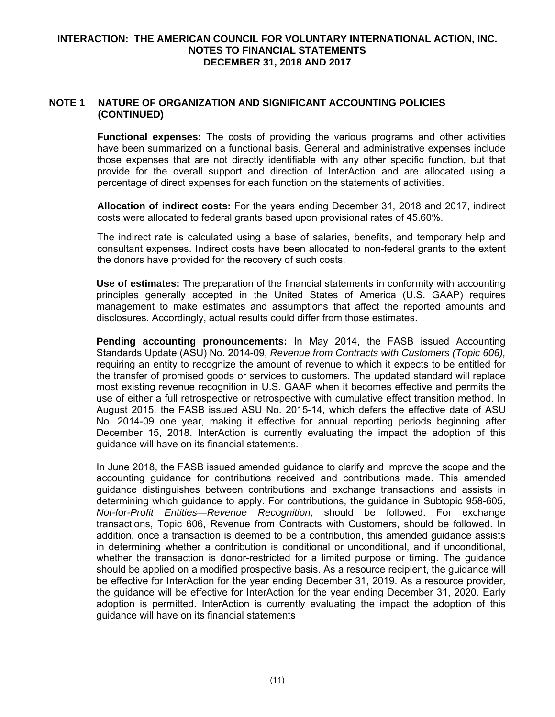# **NOTE 1 NATURE OF ORGANIZATION AND SIGNIFICANT ACCOUNTING POLICIES (CONTINUED)**

**Functional expenses:** The costs of providing the various programs and other activities have been summarized on a functional basis. General and administrative expenses include those expenses that are not directly identifiable with any other specific function, but that provide for the overall support and direction of InterAction and are allocated using a percentage of direct expenses for each function on the statements of activities.

**Allocation of indirect costs:** For the years ending December 31, 2018 and 2017, indirect costs were allocated to federal grants based upon provisional rates of 45.60%.

The indirect rate is calculated using a base of salaries, benefits, and temporary help and consultant expenses. Indirect costs have been allocated to non-federal grants to the extent the donors have provided for the recovery of such costs.

**Use of estimates:** The preparation of the financial statements in conformity with accounting principles generally accepted in the United States of America (U.S. GAAP) requires management to make estimates and assumptions that affect the reported amounts and disclosures. Accordingly, actual results could differ from those estimates.

**Pending accounting pronouncements:** In May 2014, the FASB issued Accounting Standards Update (ASU) No. 2014-09, *Revenue from Contracts with Customers (Topic 606),*  requiring an entity to recognize the amount of revenue to which it expects to be entitled for the transfer of promised goods or services to customers. The updated standard will replace most existing revenue recognition in U.S. GAAP when it becomes effective and permits the use of either a full retrospective or retrospective with cumulative effect transition method. In August 2015, the FASB issued ASU No. 2015-14, which defers the effective date of ASU No. 2014-09 one year, making it effective for annual reporting periods beginning after December 15, 2018. InterAction is currently evaluating the impact the adoption of this guidance will have on its financial statements.

In June 2018, the FASB issued amended guidance to clarify and improve the scope and the accounting guidance for contributions received and contributions made. This amended guidance distinguishes between contributions and exchange transactions and assists in determining which guidance to apply. For contributions, the guidance in Subtopic 958-605, *Not-for-Profit Entities—Revenue Recognition,* should be followed. For exchange transactions, Topic 606, Revenue from Contracts with Customers, should be followed. In addition, once a transaction is deemed to be a contribution, this amended guidance assists in determining whether a contribution is conditional or unconditional, and if unconditional, whether the transaction is donor-restricted for a limited purpose or timing. The guidance should be applied on a modified prospective basis. As a resource recipient, the guidance will be effective for InterAction for the year ending December 31, 2019. As a resource provider, the guidance will be effective for InterAction for the year ending December 31, 2020. Early adoption is permitted. InterAction is currently evaluating the impact the adoption of this guidance will have on its financial statements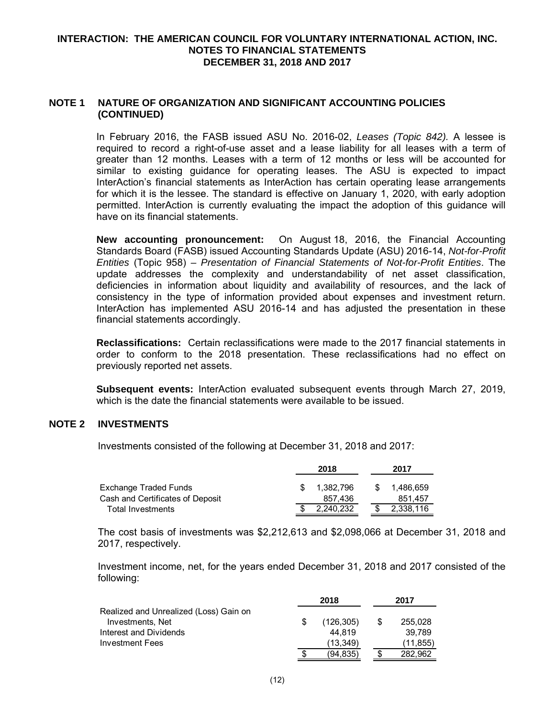# **NOTE 1 NATURE OF ORGANIZATION AND SIGNIFICANT ACCOUNTING POLICIES (CONTINUED)**

In February 2016, the FASB issued ASU No. 2016-02, *Leases (Topic 842).* A lessee is required to record a right-of-use asset and a lease liability for all leases with a term of greater than 12 months. Leases with a term of 12 months or less will be accounted for similar to existing guidance for operating leases. The ASU is expected to impact InterAction's financial statements as InterAction has certain operating lease arrangements for which it is the lessee. The standard is effective on January 1, 2020, with early adoption permitted. InterAction is currently evaluating the impact the adoption of this guidance will have on its financial statements.

**New accounting pronouncement:** On August 18, 2016, the Financial Accounting Standards Board (FASB) issued Accounting Standards Update (ASU) 2016-14, *Not-for-Profit Entities* (Topic 958) *– Presentation of Financial Statements of Not-for-Profit Entities*. The update addresses the complexity and understandability of net asset classification, deficiencies in information about liquidity and availability of resources, and the lack of consistency in the type of information provided about expenses and investment return. InterAction has implemented ASU 2016-14 and has adjusted the presentation in these financial statements accordingly.

**Reclassifications:** Certain reclassifications were made to the 2017 financial statements in order to conform to the 2018 presentation. These reclassifications had no effect on previously reported net assets.

**Subsequent events:** InterAction evaluated subsequent events through March 27, 2019, which is the date the financial statements were available to be issued.

#### **NOTE 2 INVESTMENTS**

Investments consisted of the following at December 31, 2018 and 2017:

|                                  | 2018      |     | 2017      |
|----------------------------------|-----------|-----|-----------|
| Exchange Traded Funds            | 1.382.796 | -SS | 1,486,659 |
| Cash and Certificates of Deposit | 857.436   |     | 851.457   |
| Total Investments                | 2.240.232 |     | 2,338,116 |

The cost basis of investments was \$2,212,613 and \$2,098,066 at December 31, 2018 and 2017, respectively.

Investment income, net, for the years ended December 31, 2018 and 2017 consisted of the following:

|                                        | 2018       | 2017 |          |  |
|----------------------------------------|------------|------|----------|--|
| Realized and Unrealized (Loss) Gain on |            |      |          |  |
| Investments, Net                       | (126, 305) | S    | 255,028  |  |
| Interest and Dividends                 | 44.819     |      | 39.789   |  |
| Investment Fees                        | (13.349)   |      | (11,855) |  |
|                                        | (94, 835)  | S    | 282.962  |  |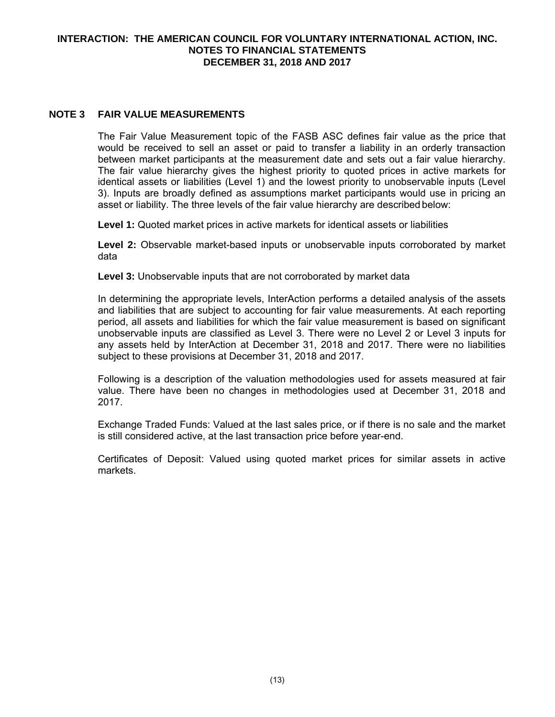# **NOTE 3 FAIR VALUE MEASUREMENTS**

The Fair Value Measurement topic of the FASB ASC defines fair value as the price that would be received to sell an asset or paid to transfer a liability in an orderly transaction between market participants at the measurement date and sets out a fair value hierarchy. The fair value hierarchy gives the highest priority to quoted prices in active markets for identical assets or liabilities (Level 1) and the lowest priority to unobservable inputs (Level 3). Inputs are broadly defined as assumptions market participants would use in pricing an asset or liability. The three levels of the fair value hierarchy are described below:

**Level 1:** Quoted market prices in active markets for identical assets or liabilities

**Level 2:** Observable market-based inputs or unobservable inputs corroborated by market data

**Level 3:** Unobservable inputs that are not corroborated by market data

In determining the appropriate levels, InterAction performs a detailed analysis of the assets and liabilities that are subject to accounting for fair value measurements. At each reporting period, all assets and liabilities for which the fair value measurement is based on significant unobservable inputs are classified as Level 3. There were no Level 2 or Level 3 inputs for any assets held by InterAction at December 31, 2018 and 2017. There were no liabilities subject to these provisions at December 31, 2018 and 2017.

Following is a description of the valuation methodologies used for assets measured at fair value. There have been no changes in methodologies used at December 31, 2018 and 2017.

Exchange Traded Funds: Valued at the last sales price, or if there is no sale and the market is still considered active, at the last transaction price before year-end.

Certificates of Deposit: Valued using quoted market prices for similar assets in active markets.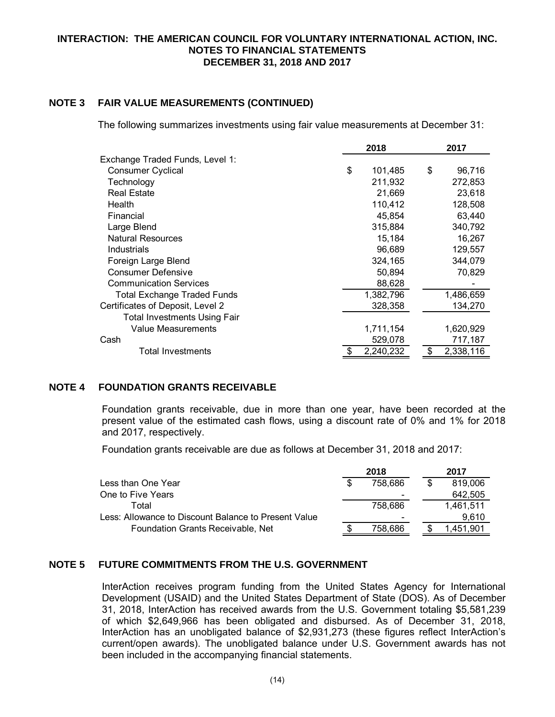# **NOTE 3 FAIR VALUE MEASUREMENTS (CONTINUED)**

The following summarizes investments using fair value measurements at December 31:

|                                     | 2018 |           |    | 2017      |
|-------------------------------------|------|-----------|----|-----------|
| Exchange Traded Funds, Level 1:     |      |           |    |           |
| <b>Consumer Cyclical</b>            | \$   | 101,485   | \$ | 96,716    |
| Technology                          |      | 211,932   |    | 272,853   |
| <b>Real Estate</b>                  |      | 21,669    |    | 23,618    |
| Health                              |      | 110,412   |    | 128,508   |
| Financial                           |      | 45,854    |    | 63,440    |
| Large Blend                         |      | 315,884   |    | 340,792   |
| <b>Natural Resources</b>            |      | 15,184    |    | 16,267    |
| Industrials                         |      | 96,689    |    | 129,557   |
| Foreign Large Blend                 |      | 324,165   |    | 344,079   |
| <b>Consumer Defensive</b>           |      | 50,894    |    | 70,829    |
| <b>Communication Services</b>       |      | 88,628    |    |           |
| <b>Total Exchange Traded Funds</b>  |      | 1,382,796 |    | 1,486,659 |
| Certificates of Deposit, Level 2    |      | 328,358   |    | 134,270   |
| <b>Total Investments Using Fair</b> |      |           |    |           |
| Value Measurements                  |      | 1,711,154 |    | 1,620,929 |
| Cash                                |      | 529,078   |    | 717,187   |
| Total Investments                   |      | 2,240,232 |    | 2,338,116 |

# **NOTE 4 FOUNDATION GRANTS RECEIVABLE**

Foundation grants receivable, due in more than one year, have been recorded at the present value of the estimated cash flows, using a discount rate of 0% and 1% for 2018 and 2017, respectively.

Foundation grants receivable are due as follows at December 31, 2018 and 2017:

|                                                      | 2018    | 2017      |
|------------------------------------------------------|---------|-----------|
| Less than One Year                                   | 758,686 | 819,006   |
| One to Five Years                                    |         | 642,505   |
| Total                                                | 758.686 | 1,461,511 |
| Less: Allowance to Discount Balance to Present Value |         | 9.610     |
| Foundation Grants Receivable, Net                    | 758.686 | .451.901  |

# **NOTE 5 FUTURE COMMITMENTS FROM THE U.S. GOVERNMENT**

InterAction receives program funding from the United States Agency for International Development (USAID) and the United States Department of State (DOS). As of December 31, 2018, InterAction has received awards from the U.S. Government totaling \$5,581,239 of which \$2,649,966 has been obligated and disbursed. As of December 31, 2018, InterAction has an unobligated balance of \$2,931,273 (these figures reflect InterAction's current/open awards). The unobligated balance under U.S. Government awards has not been included in the accompanying financial statements.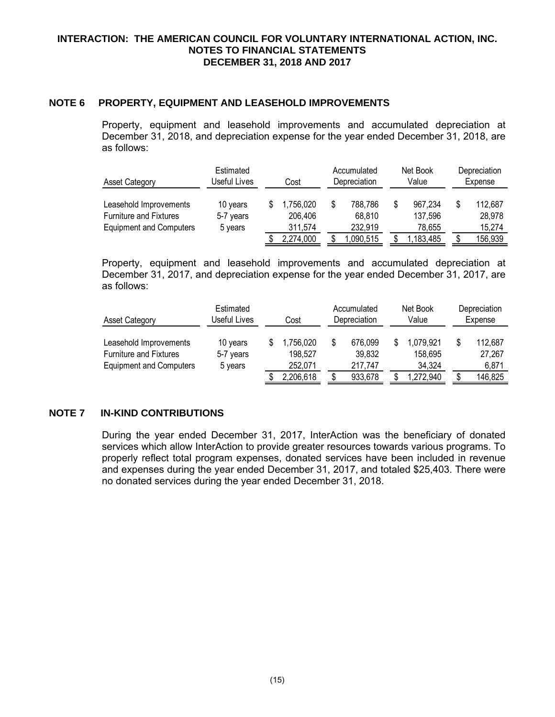### **NOTE 6 PROPERTY, EQUIPMENT AND LEASEHOLD IMPROVEMENTS**

Property, equipment and leasehold improvements and accumulated depreciation at December 31, 2018, and depreciation expense for the year ended December 31, 2018, are as follows:

| <b>Asset Category</b>                                   | Estimated<br>Jseful Lives | Cost |                      | Accumulated<br>Depreciation | Net Book<br>Value        | Depreciation<br>Expense |
|---------------------------------------------------------|---------------------------|------|----------------------|-----------------------------|--------------------------|-------------------------|
| Leasehold Improvements<br><b>Furniture and Fixtures</b> | 10 years<br>5-7 years     |      | 1.756.020<br>206.406 | 788,786<br>68.810           | \$<br>967.234<br>137.596 | 112,687<br>28.978       |
| <b>Equipment and Computers</b>                          | 5 years                   |      | 311.574              | 232.919                     | 78.655                   | 15,274                  |
|                                                         |                           |      | 2.274.000            | 090,515,                    | .183.485                 | 156,939                 |

Property, equipment and leasehold improvements and accumulated depreciation at December 31, 2017, and depreciation expense for the year ended December 31, 2017, are as follows:

| <b>Asset Category</b>                                   | Estimated<br>Useful Lives<br>Cost |  | Accumulated<br>Depreciation |  | Net Book<br>Value |   | Depreciation<br>Expense |   |                   |
|---------------------------------------------------------|-----------------------------------|--|-----------------------------|--|-------------------|---|-------------------------|---|-------------------|
| Leasehold Improvements<br><b>Furniture and Fixtures</b> | 10 years<br>5-7 years             |  | 1,756,020<br>198.527        |  | 676.099<br>39,832 | S | 1.079.921<br>158.695    | S | 112.687<br>27,267 |
| <b>Equipment and Computers</b>                          | 5 years                           |  | 252.071                     |  | 217.747           |   | 34.324                  |   | 6.871             |
|                                                         |                                   |  | 2.206.618                   |  | 933,678           |   | 1.272.940               |   | 146,825           |

# **NOTE 7 IN-KIND CONTRIBUTIONS**

During the year ended December 31, 2017, InterAction was the beneficiary of donated services which allow InterAction to provide greater resources towards various programs. To properly reflect total program expenses, donated services have been included in revenue and expenses during the year ended December 31, 2017, and totaled \$25,403. There were no donated services during the year ended December 31, 2018.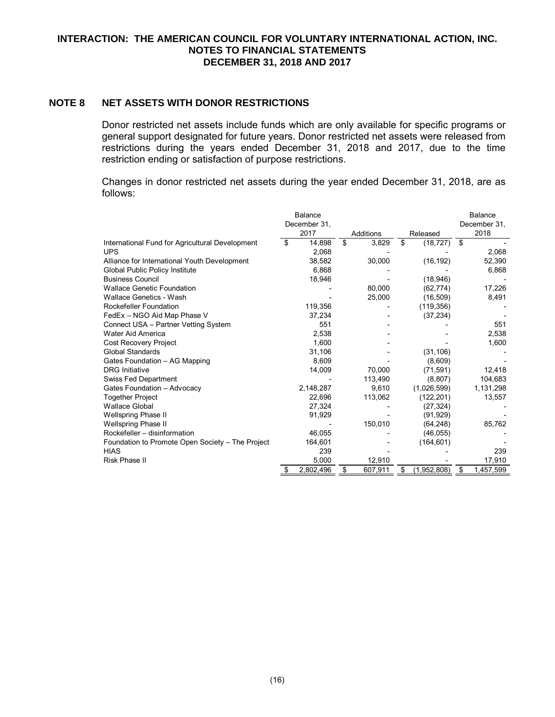# **NOTE 8 NET ASSETS WITH DONOR RESTRICTIONS**

Donor restricted net assets include funds which are only available for specific programs or general support designated for future years. Donor restricted net assets were released from restrictions during the years ended December 31, 2018 and 2017, due to the time restriction ending or satisfaction of purpose restrictions.

Changes in donor restricted net assets during the year ended December 31, 2018, are as follows:

|                                                  |                      | <b>Balance</b> |    |           |    |             |                      | <b>Balance</b> |
|--------------------------------------------------|----------------------|----------------|----|-----------|----|-------------|----------------------|----------------|
|                                                  | December 31,<br>2017 |                |    |           |    |             | December 31,<br>2018 |                |
|                                                  |                      |                |    | Additions |    | Released    |                      |                |
| International Fund for Agricultural Development  | \$                   | 14,898         | \$ | 3,829     | \$ | (18, 727)   | \$                   |                |
| <b>UPS</b>                                       |                      | 2,068          |    |           |    |             |                      | 2,068          |
| Alliance for International Youth Development     |                      | 38,582         |    | 30,000    |    | (16, 192)   |                      | 52,390         |
| <b>Global Public Policy Institute</b>            |                      | 6,868          |    |           |    |             |                      | 6,868          |
| <b>Business Council</b>                          |                      | 18,946         |    |           |    | (18, 946)   |                      |                |
| <b>Wallace Genetic Foundation</b>                |                      |                |    | 80.000    |    | (62,774)    |                      | 17,226         |
| Wallace Genetics - Wash                          |                      |                |    | 25,000    |    | (16, 509)   |                      | 8,491          |
| <b>Rockefeller Foundation</b>                    |                      | 119,356        |    |           |    | (119, 356)  |                      |                |
| FedEx - NGO Aid Map Phase V                      |                      | 37,234         |    |           |    | (37, 234)   |                      |                |
| Connect USA - Partner Vetting System             |                      | 551            |    |           |    |             |                      | 551            |
| Water Aid America                                |                      | 2,538          |    |           |    |             |                      | 2,538          |
| Cost Recovery Project                            |                      | 1,600          |    |           |    |             |                      | 1,600          |
| Global Standards                                 |                      | 31,106         |    |           |    | (31, 106)   |                      |                |
| Gates Foundation - AG Mapping                    |                      | 8,609          |    |           |    | (8,609)     |                      |                |
| <b>DRG</b> Initiative                            |                      | 14,009         |    | 70.000    |    | (71, 591)   |                      | 12,418         |
| <b>Swiss Fed Department</b>                      |                      |                |    | 113,490   |    | (8,807)     |                      | 104,683        |
| Gates Foundation - Advocacy                      |                      | 2,148,287      |    | 9,610     |    | (1,026,599) |                      | 1,131,298      |
| <b>Together Project</b>                          |                      | 22,696         |    | 113,062   |    | (122, 201)  |                      | 13,557         |
| <b>Wallace Global</b>                            |                      | 27,324         |    |           |    | (27, 324)   |                      |                |
| <b>Wellspring Phase II</b>                       |                      | 91,929         |    |           |    | (91, 929)   |                      |                |
| <b>Wellspring Phase II</b>                       |                      |                |    | 150,010   |    | (64, 248)   |                      | 85,762         |
| Rockefeller - disinformation                     |                      | 46,055         |    |           |    | (46, 055)   |                      |                |
| Foundation to Promote Open Society - The Project |                      | 164,601        |    |           |    | (164, 601)  |                      |                |
| <b>HIAS</b>                                      |                      | 239            |    |           |    |             |                      | 239            |
| <b>Risk Phase II</b>                             |                      | 5,000          |    | 12,910    |    |             |                      | 17,910         |
|                                                  | \$                   | 2,802,496      | \$ | 607,911   | \$ | (1,952,808) | \$                   | 1,457,599      |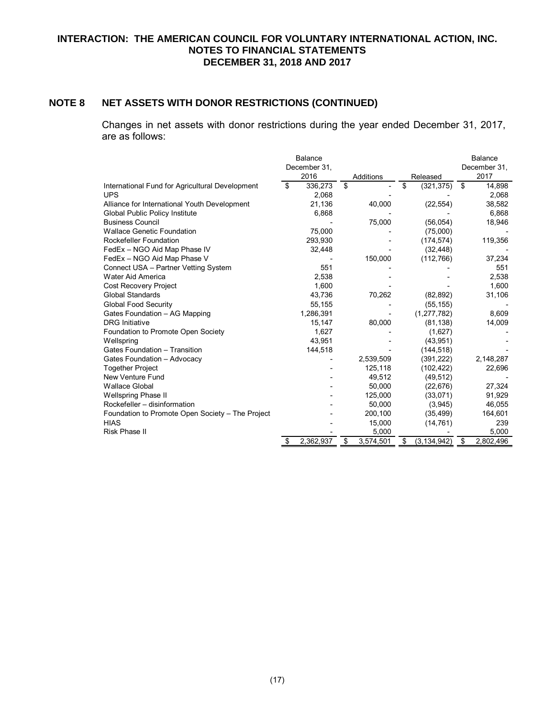# **NOTE 8 NET ASSETS WITH DONOR RESTRICTIONS (CONTINUED)**

Changes in net assets with donor restrictions during the year ended December 31, 2017, are as follows:

|                                                  |              | <b>Balance</b> |    |           |    |               |    | <b>Balance</b> |  |
|--------------------------------------------------|--------------|----------------|----|-----------|----|---------------|----|----------------|--|
|                                                  | December 31, |                |    |           |    |               |    | December 31,   |  |
|                                                  | 2016         |                |    | Additions |    | Released      |    | 2017           |  |
| International Fund for Agricultural Development  | \$           | 336,273        | \$ |           | \$ | (321, 375)    | \$ | 14,898         |  |
| <b>UPS</b>                                       |              | 2,068          |    |           |    |               |    | 2,068          |  |
| Alliance for International Youth Development     |              | 21,136         |    | 40,000    |    | (22, 554)     |    | 38,582         |  |
| <b>Global Public Policy Institute</b>            |              | 6,868          |    |           |    |               |    | 6,868          |  |
| <b>Business Council</b>                          |              |                |    | 75,000    |    | (56, 054)     |    | 18,946         |  |
| <b>Wallace Genetic Foundation</b>                |              | 75,000         |    |           |    | (75,000)      |    |                |  |
| Rockefeller Foundation                           |              | 293,930        |    |           |    | (174, 574)    |    | 119,356        |  |
| FedEx - NGO Aid Map Phase IV                     |              | 32,448         |    |           |    | (32, 448)     |    |                |  |
| FedEx - NGO Aid Map Phase V                      |              |                |    | 150,000   |    | (112, 766)    |    | 37,234         |  |
| Connect USA - Partner Vetting System             |              | 551            |    |           |    |               |    | 551            |  |
| Water Aid America                                |              | 2.538          |    |           |    |               |    | 2,538          |  |
| Cost Recovery Project                            |              | 1,600          |    |           |    |               |    | 1,600          |  |
| <b>Global Standards</b>                          |              | 43,736         |    | 70,262    |    | (82, 892)     |    | 31,106         |  |
| <b>Global Food Security</b>                      |              | 55,155         |    |           |    | (55, 155)     |    |                |  |
| Gates Foundation - AG Mapping                    |              | 1,286,391      |    |           |    | (1, 277, 782) |    | 8,609          |  |
| <b>DRG</b> Initiative                            |              | 15,147         |    | 80,000    |    | (81, 138)     |    | 14,009         |  |
| Foundation to Promote Open Society               |              | 1,627          |    |           |    | (1,627)       |    |                |  |
| Wellspring                                       |              | 43,951         |    |           |    | (43, 951)     |    |                |  |
| Gates Foundation - Transition                    |              | 144,518        |    |           |    | (144, 518)    |    |                |  |
| Gates Foundation - Advocacy                      |              |                |    | 2,539,509 |    | (391, 222)    |    | 2,148,287      |  |
| <b>Together Project</b>                          |              |                |    | 125,118   |    | (102, 422)    |    | 22,696         |  |
| <b>New Venture Fund</b>                          |              |                |    | 49,512    |    | (49, 512)     |    |                |  |
| <b>Wallace Global</b>                            |              |                |    | 50,000    |    | (22, 676)     |    | 27,324         |  |
| <b>Wellspring Phase II</b>                       |              |                |    | 125,000   |    | (33,071)      |    | 91,929         |  |
| Rockefeller - disinformation                     |              |                |    | 50,000    |    | (3,945)       |    | 46,055         |  |
| Foundation to Promote Open Society - The Project |              |                |    | 200,100   |    | (35, 499)     |    | 164,601        |  |
| <b>HIAS</b>                                      |              |                |    | 15,000    |    | (14, 761)     |    | 239            |  |
| <b>Risk Phase II</b>                             |              |                |    | 5,000     |    |               |    | 5,000          |  |
|                                                  | \$           | 2,362,937      | \$ | 3,574,501 | \$ | (3, 134, 942) | \$ | 2,802,496      |  |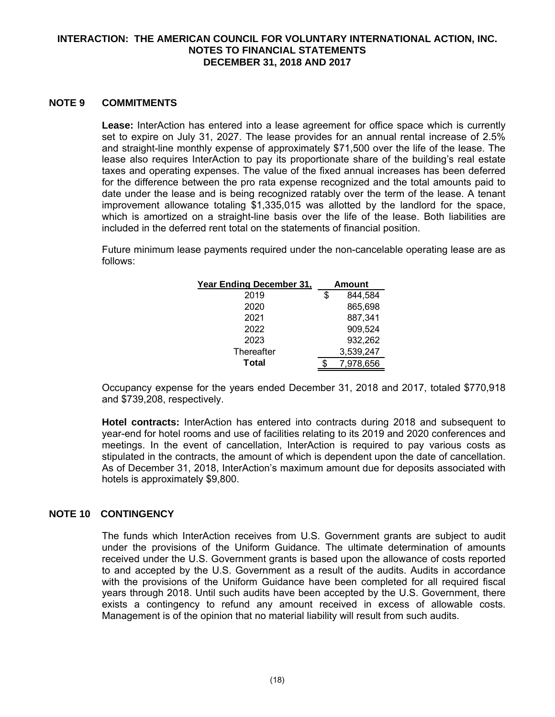#### **NOTE 9 COMMITMENTS**

**Lease:** InterAction has entered into a lease agreement for office space which is currently set to expire on July 31, 2027. The lease provides for an annual rental increase of 2.5% and straight-line monthly expense of approximately \$71,500 over the life of the lease. The lease also requires InterAction to pay its proportionate share of the building's real estate taxes and operating expenses. The value of the fixed annual increases has been deferred for the difference between the pro rata expense recognized and the total amounts paid to date under the lease and is being recognized ratably over the term of the lease. A tenant improvement allowance totaling \$1,335,015 was allotted by the landlord for the space, which is amortized on a straight-line basis over the life of the lease. Both liabilities are included in the deferred rent total on the statements of financial position.

Future minimum lease payments required under the non-cancelable operating lease are as follows:

| Year Ending December 31, |   | <b>Amount</b> |
|--------------------------|---|---------------|
| 2019                     | S | 844,584       |
| 2020                     |   | 865,698       |
| 2021                     |   | 887,341       |
| 2022                     |   | 909,524       |
| 2023                     |   | 932,262       |
| <b>Thereafter</b>        |   | 3,539,247     |
| <b>Total</b>             |   | 7,978,656     |

Occupancy expense for the years ended December 31, 2018 and 2017, totaled \$770,918 and \$739,208, respectively.

**Hotel contracts:** InterAction has entered into contracts during 2018 and subsequent to year-end for hotel rooms and use of facilities relating to its 2019 and 2020 conferences and meetings. In the event of cancellation, InterAction is required to pay various costs as stipulated in the contracts, the amount of which is dependent upon the date of cancellation. As of December 31, 2018, InterAction's maximum amount due for deposits associated with hotels is approximately \$9,800.

# **NOTE 10 CONTINGENCY**

The funds which InterAction receives from U.S. Government grants are subject to audit under the provisions of the Uniform Guidance. The ultimate determination of amounts received under the U.S. Government grants is based upon the allowance of costs reported to and accepted by the U.S. Government as a result of the audits. Audits in accordance with the provisions of the Uniform Guidance have been completed for all required fiscal years through 2018. Until such audits have been accepted by the U.S. Government, there exists a contingency to refund any amount received in excess of allowable costs. Management is of the opinion that no material liability will result from such audits.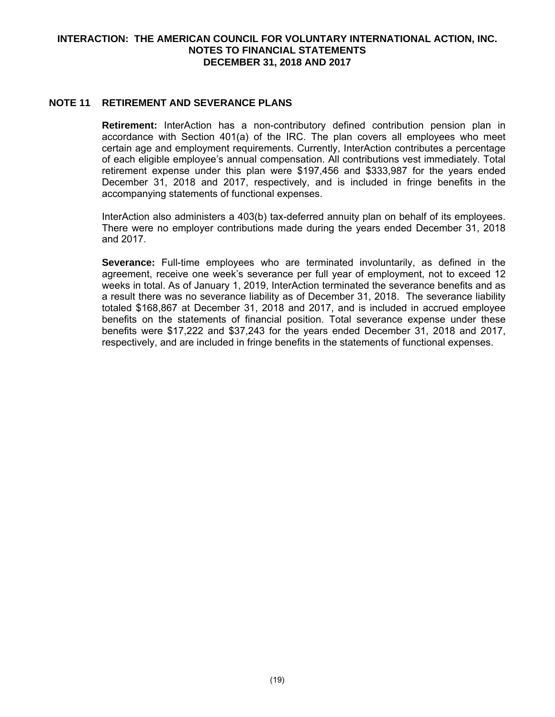### **NOTE 11 RETIREMENT AND SEVERANCE PLANS**

**Retirement:** InterAction has a non-contributory defined contribution pension plan in accordance with Section 401(a) of the IRC. The plan covers all employees who meet certain age and employment requirements. Currently, InterAction contributes a percentage of each eligible employee's annual compensation. All contributions vest immediately. Total retirement expense under this plan were \$197,456 and \$333,987 for the years ended December 31, 2018 and 2017, respectively, and is included in fringe benefits in the accompanying statements of functional expenses.

InterAction also administers a 403(b) tax-deferred annuity plan on behalf of its employees. There were no employer contributions made during the years ended December 31, 2018 and 2017.

**Severance:** Full-time employees who are terminated involuntarily, as defined in the agreement, receive one week's severance per full year of employment, not to exceed 12 weeks in total. As of January 1, 2019, InterAction terminated the severance benefits and as a result there was no severance liability as of December 31, 2018. The severance liability totaled \$168,867 at December 31, 2018 and 2017, and is included in accrued employee benefits on the statements of financial position. Total severance expense under these benefits were \$17,222 and \$37,243 for the years ended December 31, 2018 and 2017, respectively, and are included in fringe benefits in the statements of functional expenses.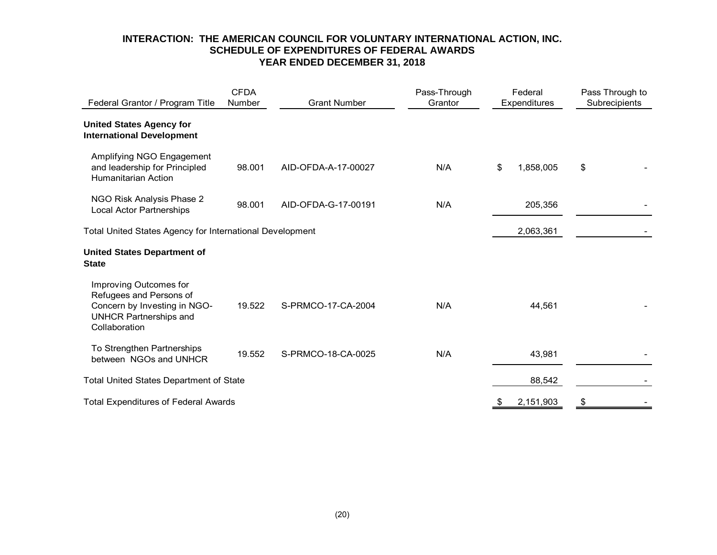# **INTERACTION: THE AMERICAN COUNCIL FOR VOLUNTARY INTERNATIONAL ACTION, INC. SCHEDULE OF EXPENDITURES OF FEDERAL AWARDS YEAR ENDED DECEMBER 31, 2018**

| Federal Grantor / Program Title                                                                                                     | <b>CFDA</b><br>Number | <b>Grant Number</b> | Pass-Through<br>Grantor | Federal<br>Expenditures | Pass Through to<br>Subrecipients |  |
|-------------------------------------------------------------------------------------------------------------------------------------|-----------------------|---------------------|-------------------------|-------------------------|----------------------------------|--|
| <b>United States Agency for</b><br><b>International Development</b>                                                                 |                       |                     |                         |                         |                                  |  |
| Amplifying NGO Engagement<br>and leadership for Principled<br>Humanitarian Action                                                   | 98.001                | AID-OFDA-A-17-00027 | N/A                     | 1,858,005<br>\$         | \$                               |  |
| NGO Risk Analysis Phase 2<br><b>Local Actor Partnerships</b>                                                                        | 98.001                | AID-OFDA-G-17-00191 | N/A                     | 205,356                 |                                  |  |
| Total United States Agency for International Development                                                                            |                       |                     |                         | 2,063,361               |                                  |  |
| <b>United States Department of</b><br><b>State</b>                                                                                  |                       |                     |                         |                         |                                  |  |
| Improving Outcomes for<br>Refugees and Persons of<br>Concern by Investing in NGO-<br><b>UNHCR Partnerships and</b><br>Collaboration | 19.522                | S-PRMCO-17-CA-2004  | N/A                     | 44,561                  |                                  |  |
| To Strengthen Partnerships<br>between NGOs and UNHCR                                                                                | 19.552                | S-PRMCO-18-CA-0025  | N/A                     | 43,981                  |                                  |  |
| <b>Total United States Department of State</b>                                                                                      |                       |                     |                         | 88,542                  |                                  |  |
| <b>Total Expenditures of Federal Awards</b>                                                                                         |                       |                     |                         | 2,151,903<br>56         | \$                               |  |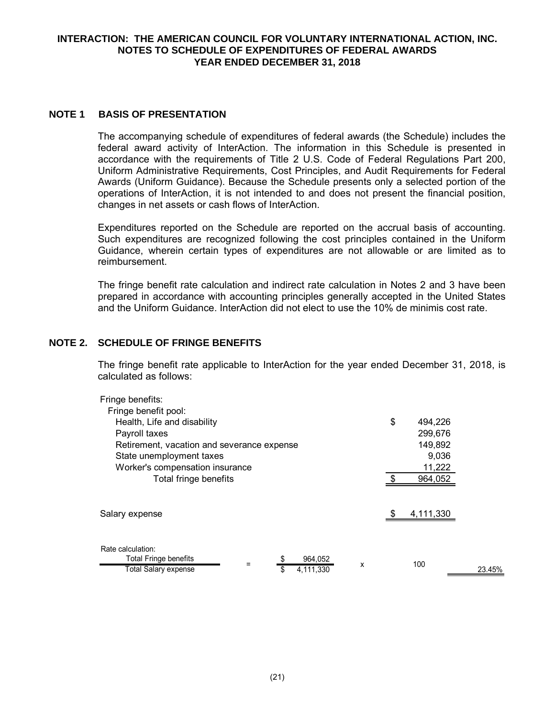### **INTERACTION: THE AMERICAN COUNCIL FOR VOLUNTARY INTERNATIONAL ACTION, INC. NOTES TO SCHEDULE OF EXPENDITURES OF FEDERAL AWARDS YEAR ENDED DECEMBER 31, 2018**

### **NOTE 1 BASIS OF PRESENTATION**

The accompanying schedule of expenditures of federal awards (the Schedule) includes the federal award activity of InterAction. The information in this Schedule is presented in accordance with the requirements of Title 2 U.S. Code of Federal Regulations Part 200, Uniform Administrative Requirements, Cost Principles, and Audit Requirements for Federal Awards (Uniform Guidance). Because the Schedule presents only a selected portion of the operations of InterAction, it is not intended to and does not present the financial position, changes in net assets or cash flows of InterAction.

Expenditures reported on the Schedule are reported on the accrual basis of accounting. Such expenditures are recognized following the cost principles contained in the Uniform Guidance, wherein certain types of expenditures are not allowable or are limited as to reimbursement.

The fringe benefit rate calculation and indirect rate calculation in Notes 2 and 3 have been prepared in accordance with accounting principles generally accepted in the United States and the Uniform Guidance. InterAction did not elect to use the 10% de minimis cost rate.

### **NOTE 2. SCHEDULE OF FRINGE BENEFITS**

The fringe benefit rate applicable to InterAction for the year ended December 31, 2018, is calculated as follows:

| Fringe benefits:                                             |   |               |        |
|--------------------------------------------------------------|---|---------------|--------|
| Fringe benefit pool:                                         |   |               |        |
| Health, Life and disability                                  |   | \$<br>494,226 |        |
| Payroll taxes                                                |   | 299,676       |        |
| Retirement, vacation and severance expense                   |   | 149,892       |        |
| State unemployment taxes                                     |   | 9,036         |        |
| Worker's compensation insurance                              |   | 11,222        |        |
| Total fringe benefits                                        |   | 964,052       |        |
| Salary expense                                               |   | 4,111,330     |        |
| Rate calculation:<br><b>Total Fringe benefits</b><br>964,052 | x | 100           |        |
| \$<br><b>Total Salary expense</b><br>4,111,330               |   |               | 23.45% |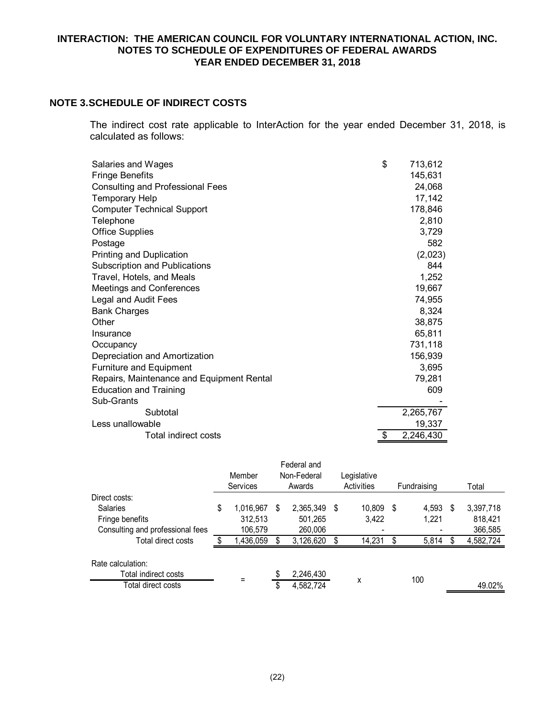# **INTERACTION: THE AMERICAN COUNCIL FOR VOLUNTARY INTERNATIONAL ACTION, INC. NOTES TO SCHEDULE OF EXPENDITURES OF FEDERAL AWARDS YEAR ENDED DECEMBER 31, 2018**

# **NOTE 3. SCHEDULE OF INDIRECT COSTS**

The indirect cost rate applicable to InterAction for the year ended December 31, 2018, is calculated as follows:

| Salaries and Wages                        | \$<br>713,612   |
|-------------------------------------------|-----------------|
| <b>Fringe Benefits</b>                    | 145,631         |
| <b>Consulting and Professional Fees</b>   | 24,068          |
| <b>Temporary Help</b>                     | 17,142          |
| <b>Computer Technical Support</b>         | 178,846         |
| Telephone                                 | 2,810           |
| <b>Office Supplies</b>                    | 3,729           |
| Postage                                   | 582             |
| Printing and Duplication                  | (2,023)         |
| <b>Subscription and Publications</b>      | 844             |
| Travel, Hotels, and Meals                 | 1,252           |
| <b>Meetings and Conferences</b>           | 19,667          |
| Legal and Audit Fees                      | 74,955          |
| <b>Bank Charges</b>                       | 8,324           |
| Other                                     | 38,875          |
| Insurance                                 | 65,811          |
| Occupancy                                 | 731,118         |
| Depreciation and Amortization             | 156,939         |
| Furniture and Equipment                   | 3,695           |
| Repairs, Maintenance and Equipment Rental | 79,281          |
| <b>Education and Training</b>             | 609             |
| Sub-Grants                                |                 |
| Subtotal                                  | 2,265,767       |
| Less unallowable                          | 19,337          |
| Total indirect costs                      | \$<br>2,246,430 |

|                                  |                 |    | Federal and  |     |             |      |             |    |           |
|----------------------------------|-----------------|----|--------------|-----|-------------|------|-------------|----|-----------|
|                                  | Member          |    | Non-Federal  |     | Legislative |      |             |    |           |
|                                  | <b>Services</b> |    | Awards       |     | Activities  |      | Fundraising |    | Total     |
| Direct costs:                    |                 |    |              |     |             |      |             |    |           |
| <b>Salaries</b>                  | \$<br>1,016,967 | S  | 2,365,349 \$ |     | 10,809      | - \$ | 4,593       | S  | 3,397,718 |
| Fringe benefits                  | 312.513         |    | 501,265      |     | 3,422       |      | 1,221       |    | 818,421   |
| Consulting and professional fees | 106,579         |    | 260,006      |     |             |      |             |    | 366,585   |
| Total direct costs               | ,436,059        | £. | 3,126,620    | \$. | 14,231      | £.   | 5,814       | S. | 4,582,724 |
| Rate calculation:                |                 |    |              |     |             |      |             |    |           |
| Total indirect costs             |                 |    | 2,246,430    |     | X           |      | 100         |    |           |
| Total direct costs               |                 | \$ | 4,582,724    |     |             |      |             |    | 49.02%    |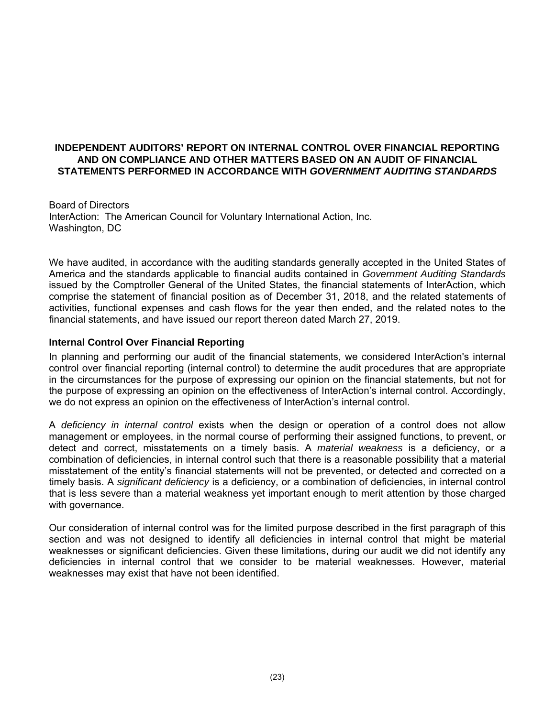# **INDEPENDENT AUDITORS' REPORT ON INTERNAL CONTROL OVER FINANCIAL REPORTING AND ON COMPLIANCE AND OTHER MATTERS BASED ON AN AUDIT OF FINANCIAL STATEMENTS PERFORMED IN ACCORDANCE WITH** *GOVERNMENT AUDITING STANDARDS*

Board of Directors InterAction: The American Council for Voluntary International Action, Inc. Washington, DC

We have audited, in accordance with the auditing standards generally accepted in the United States of America and the standards applicable to financial audits contained in *Government Auditing Standards*  issued by the Comptroller General of the United States, the financial statements of InterAction, which comprise the statement of financial position as of December 31, 2018, and the related statements of activities, functional expenses and cash flows for the year then ended, and the related notes to the financial statements, and have issued our report thereon dated March 27, 2019.

# **Internal Control Over Financial Reporting**

In planning and performing our audit of the financial statements, we considered InterAction's internal control over financial reporting (internal control) to determine the audit procedures that are appropriate in the circumstances for the purpose of expressing our opinion on the financial statements, but not for the purpose of expressing an opinion on the effectiveness of InterAction's internal control. Accordingly, we do not express an opinion on the effectiveness of InterAction's internal control.

A *deficiency in internal control* exists when the design or operation of a control does not allow management or employees, in the normal course of performing their assigned functions, to prevent, or detect and correct, misstatements on a timely basis. A *material weakness* is a deficiency, or a combination of deficiencies, in internal control such that there is a reasonable possibility that a material misstatement of the entity's financial statements will not be prevented, or detected and corrected on a timely basis. A *significant deficiency* is a deficiency, or a combination of deficiencies, in internal control that is less severe than a material weakness yet important enough to merit attention by those charged with governance.

Our consideration of internal control was for the limited purpose described in the first paragraph of this section and was not designed to identify all deficiencies in internal control that might be material weaknesses or significant deficiencies. Given these limitations, during our audit we did not identify any deficiencies in internal control that we consider to be material weaknesses. However, material weaknesses may exist that have not been identified.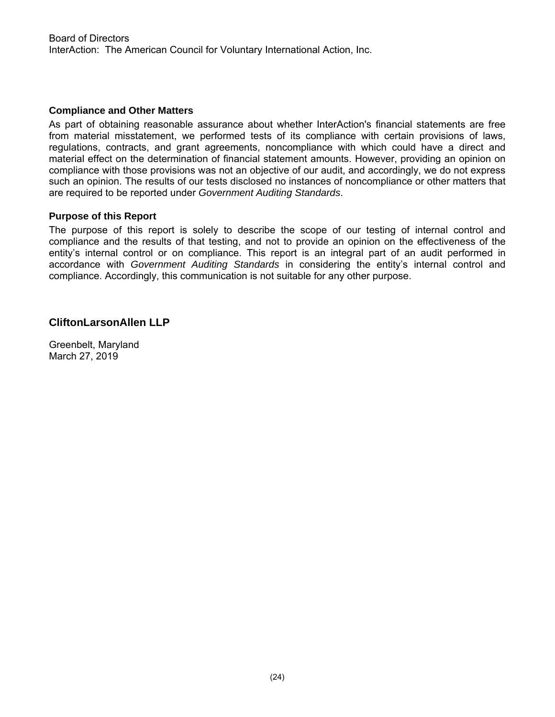### **Compliance and Other Matters**

As part of obtaining reasonable assurance about whether InterAction's financial statements are free from material misstatement, we performed tests of its compliance with certain provisions of laws, regulations, contracts, and grant agreements, noncompliance with which could have a direct and material effect on the determination of financial statement amounts. However, providing an opinion on compliance with those provisions was not an objective of our audit, and accordingly, we do not express such an opinion. The results of our tests disclosed no instances of noncompliance or other matters that are required to be reported under *Government Auditing Standards*.

### **Purpose of this Report**

The purpose of this report is solely to describe the scope of our testing of internal control and compliance and the results of that testing, and not to provide an opinion on the effectiveness of the entity's internal control or on compliance. This report is an integral part of an audit performed in accordance with *Government Auditing Standards* in considering the entity's internal control and compliance. Accordingly, this communication is not suitable for any other purpose.

# **CliftonLarsonAllen LLP**

Greenbelt, Maryland March 27, 2019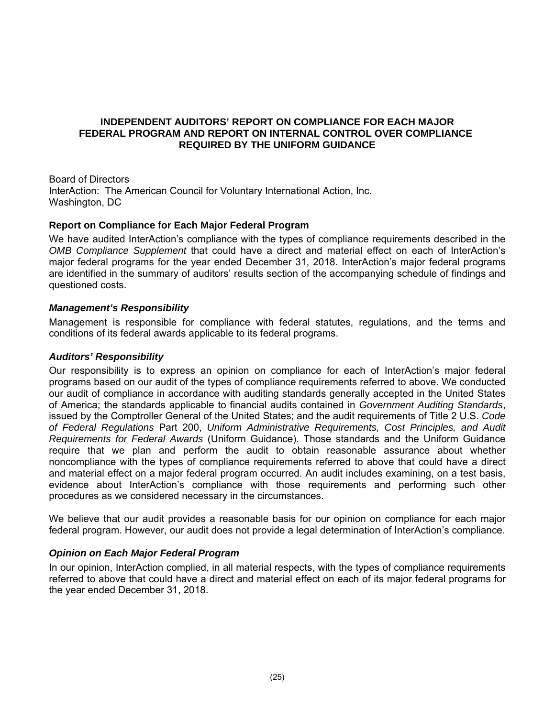# **INDEPENDENT AUDITORS' REPORT ON COMPLIANCE FOR EACH MAJOR FEDERAL PROGRAM AND REPORT ON INTERNAL CONTROL OVER COMPLIANCE REQUIRED BY THE UNIFORM GUIDANCE**

Board of Directors InterAction: The American Council for Voluntary International Action, Inc. Washington, DC

### **Report on Compliance for Each Major Federal Program**

We have audited InterAction's compliance with the types of compliance requirements described in the *OMB Compliance Supplement* that could have a direct and material effect on each of InterAction's major federal programs for the year ended December 31, 2018. InterAction's major federal programs are identified in the summary of auditors' results section of the accompanying schedule of findings and questioned costs.

### *Management's Responsibility*

Management is responsible for compliance with federal statutes, regulations, and the terms and conditions of its federal awards applicable to its federal programs.

#### *Auditors' Responsibility*

Our responsibility is to express an opinion on compliance for each of InterAction's major federal programs based on our audit of the types of compliance requirements referred to above. We conducted our audit of compliance in accordance with auditing standards generally accepted in the United States of America; the standards applicable to financial audits contained in *Government Auditing Standards*, issued by the Comptroller General of the United States; and the audit requirements of Title 2 U.S. *Code of Federal Regulations* Part 200, *Uniform Administrative Requirements, Cost Principles, and Audit Requirements for Federal Awards* (Uniform Guidance). Those standards and the Uniform Guidance require that we plan and perform the audit to obtain reasonable assurance about whether noncompliance with the types of compliance requirements referred to above that could have a direct and material effect on a major federal program occurred. An audit includes examining, on a test basis, evidence about InterAction's compliance with those requirements and performing such other procedures as we considered necessary in the circumstances.

We believe that our audit provides a reasonable basis for our opinion on compliance for each major federal program. However, our audit does not provide a legal determination of InterAction's compliance.

# *Opinion on Each Major Federal Program*

In our opinion, InterAction complied, in all material respects, with the types of compliance requirements referred to above that could have a direct and material effect on each of its major federal programs for the year ended December 31, 2018.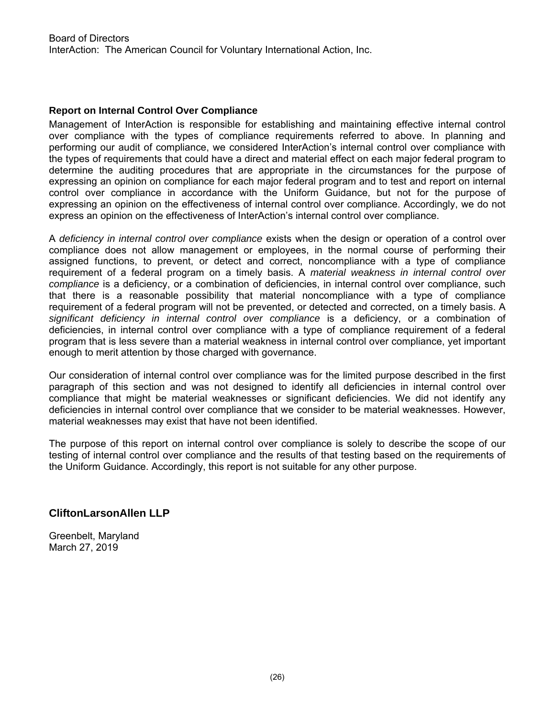# **Report on Internal Control Over Compliance**

Management of InterAction is responsible for establishing and maintaining effective internal control over compliance with the types of compliance requirements referred to above. In planning and performing our audit of compliance, we considered InterAction's internal control over compliance with the types of requirements that could have a direct and material effect on each major federal program to determine the auditing procedures that are appropriate in the circumstances for the purpose of expressing an opinion on compliance for each major federal program and to test and report on internal control over compliance in accordance with the Uniform Guidance, but not for the purpose of expressing an opinion on the effectiveness of internal control over compliance. Accordingly, we do not express an opinion on the effectiveness of InterAction's internal control over compliance.

A *deficiency in internal control over compliance* exists when the design or operation of a control over compliance does not allow management or employees, in the normal course of performing their assigned functions, to prevent, or detect and correct, noncompliance with a type of compliance requirement of a federal program on a timely basis. A *material weakness in internal control over compliance* is a deficiency, or a combination of deficiencies, in internal control over compliance, such that there is a reasonable possibility that material noncompliance with a type of compliance requirement of a federal program will not be prevented, or detected and corrected, on a timely basis. A *significant deficiency in internal control over compliance* is a deficiency, or a combination of deficiencies, in internal control over compliance with a type of compliance requirement of a federal program that is less severe than a material weakness in internal control over compliance, yet important enough to merit attention by those charged with governance.

Our consideration of internal control over compliance was for the limited purpose described in the first paragraph of this section and was not designed to identify all deficiencies in internal control over compliance that might be material weaknesses or significant deficiencies. We did not identify any deficiencies in internal control over compliance that we consider to be material weaknesses. However, material weaknesses may exist that have not been identified.

The purpose of this report on internal control over compliance is solely to describe the scope of our testing of internal control over compliance and the results of that testing based on the requirements of the Uniform Guidance. Accordingly, this report is not suitable for any other purpose.

# **CliftonLarsonAllen LLP**

Greenbelt, Maryland March 27, 2019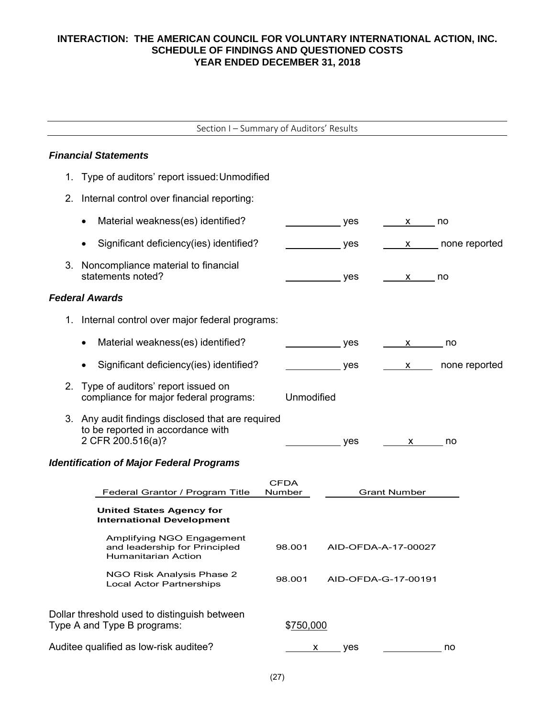# **INTERACTION: THE AMERICAN COUNCIL FOR VOLUNTARY INTERNATIONAL ACTION, INC. SCHEDULE OF FINDINGS AND QUESTIONED COSTS YEAR ENDED DECEMBER 31, 2018**

#### *Financial Statements*

- 1. Type of auditors' report issued: Unmodified
- 2. Internal control over financial reporting:
	- Material weakness(es) identified?  $\frac{1}{\sqrt{2}}$  yes  $\frac{x}{\sqrt{2}}$  no • Significant deficiency(ies) identified? \_\_\_\_\_\_\_\_\_\_\_\_\_\_ yes \_\_\_\_\_\_ x \_\_\_\_\_ none reported

\_\_\_\_\_\_\_\_\_\_\_\_\_\_\_\_\_ yes \_\_\_\_\_\_\_\_<u>\_\_\_\_\_\_\_\_\_\_\_\_\_\_\_</u> no

3. Noncompliance material to financial

#### *Federal Awards*

- 1. Internal control over major federal programs:
	- Material weakness(es) identified?  $\qquad \qquad \qquad$  yes  $\qquad \qquad \times$  no
	- Significant deficiency(ies) identified? \_\_\_\_\_\_\_\_\_\_\_\_\_\_ yes \_\_\_\_\_\_ none reported
- 2. Type of auditors' report issued on compliance for major federal programs: Unmodified
- 3. Any audit findings disclosed that are required to be reported in accordance with 2 CFR 200.516(a)? 2 CFR 200.516 (a)

### *Identification of Major Federal Programs*

| Federal Grantor / Program Title                                                          | <b>CFDA</b><br><b>Number</b> | <b>Grant Number</b> |    |
|------------------------------------------------------------------------------------------|------------------------------|---------------------|----|
| <b>United States Agency for</b><br><b>International Development</b>                      |                              |                     |    |
| Amplifying NGO Engagement<br>and leadership for Principled<br><b>Humanitarian Action</b> | 98.001                       | AID-OFDA-A-17-00027 |    |
| NGO Risk Analysis Phase 2<br><b>Local Actor Partnerships</b>                             | 98.001                       | AID-OFDA-G-17-00191 |    |
| Dollar threshold used to distinguish between<br>Type A and Type B programs:              | \$750,000                    |                     |    |
| Auditee qualified as low-risk auditee?                                                   | x                            | ves                 | no |